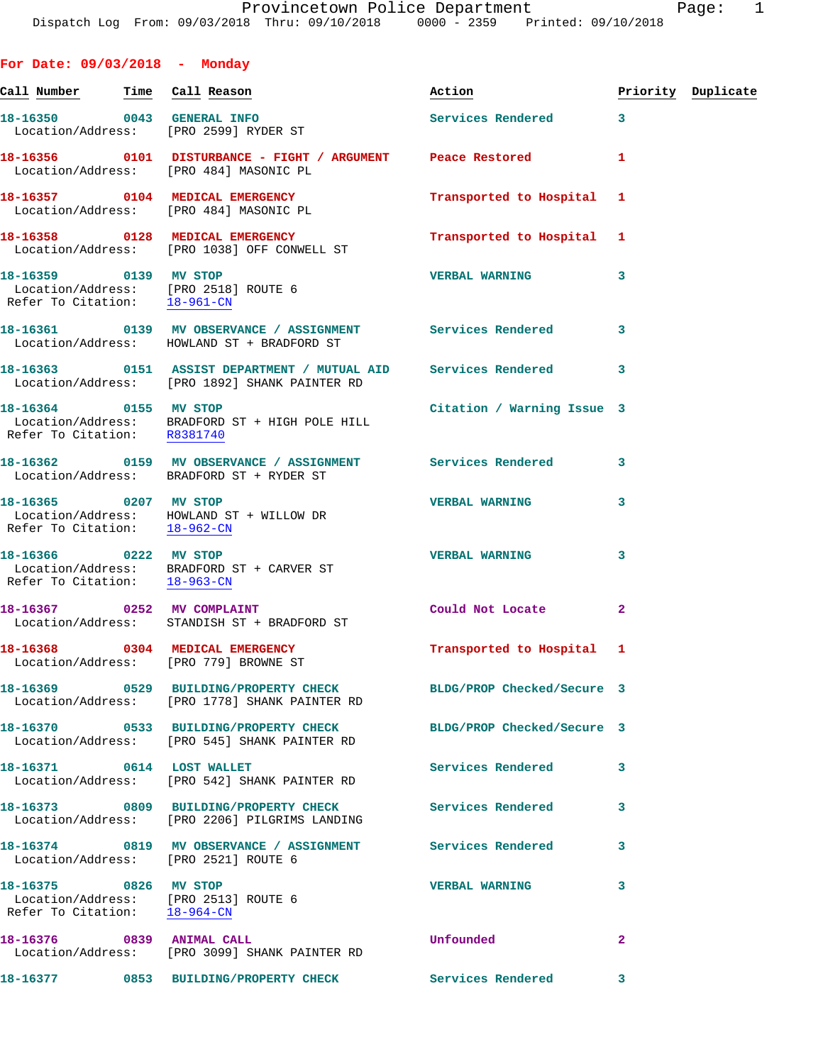| For Date: $09/03/2018$ - Monday                                                               |                                                                                                                   |                            |              |                    |
|-----------------------------------------------------------------------------------------------|-------------------------------------------------------------------------------------------------------------------|----------------------------|--------------|--------------------|
| Call Number - Time - Call Reason                                                              |                                                                                                                   | Action                     |              | Priority Duplicate |
| 18-16350 0043 GENERAL INFO                                                                    | Location/Address: [PRO 2599] RYDER ST                                                                             | Services Rendered          | 3            |                    |
|                                                                                               | 18-16356 0101 DISTURBANCE - FIGHT / ARGUMENT Peace Restored<br>Location/Address: [PRO 484] MASONIC PL             |                            | 1            |                    |
|                                                                                               | 18-16357 0104 MEDICAL EMERGENCY<br>Location/Address: [PRO 484] MASONIC PL                                         | Transported to Hospital    | 1            |                    |
|                                                                                               | 18-16358 0128 MEDICAL EMERGENCY<br>Location/Address: [PRO 1038] OFF CONWELL ST                                    | Transported to Hospital    | 1            |                    |
| 18-16359 0139 MV STOP<br>Location/Address: [PRO 2518] ROUTE 6<br>Refer To Citation: 18-961-CN |                                                                                                                   | <b>VERBAL WARNING</b>      | 3            |                    |
|                                                                                               | 18-16361 0139 MV OBSERVANCE / ASSIGNMENT Services Rendered<br>Location/Address: HOWLAND ST + BRADFORD ST          |                            | 3            |                    |
|                                                                                               | 18-16363 0151 ASSIST DEPARTMENT / MUTUAL AID<br>Location/Address: [PRO 1892] SHANK PAINTER RD                     | Services Rendered          | 3            |                    |
| 18-16364 0155 MV STOP<br>Refer To Citation: R8381740                                          | Location/Address: BRADFORD ST + HIGH POLE HILL                                                                    | Citation / Warning Issue 3 |              |                    |
|                                                                                               | 18-16362 0159 MV OBSERVANCE / ASSIGNMENT Services Rendered<br>Location/Address: BRADFORD ST + RYDER ST            |                            | 3            |                    |
| 18-16365 0207 MV STOP                                                                         | Location/Address: HOWLAND ST + WILLOW DR<br>Refer To Citation: 18-962-CN                                          | <b>VERBAL WARNING</b>      | 3            |                    |
| 18-16366 0222 MV STOP<br>Refer To Citation: 18-963-CN                                         | Location/Address: BRADFORD ST + CARVER ST                                                                         | <b>VERBAL WARNING</b>      | 3            |                    |
| 18-16367 0252 MV COMPLAINT                                                                    | Location/Address: STANDISH ST + BRADFORD ST                                                                       | Could Not Locate           | $\mathbf{2}$ |                    |
| 18-16368 0304 MEDICAL EMERGENCY                                                               | Location/Address: [PRO 779] BROWNE ST                                                                             | Transported to Hospital 1  |              |                    |
|                                                                                               | 18-16369 0529 BUILDING/PROPERTY CHECK BLDG/PROP Checked/Secure 3<br>Location/Address: [PRO 1778] SHANK PAINTER RD |                            |              |                    |
|                                                                                               | 18-16370 0533 BUILDING/PROPERTY CHECK BLDG/PROP Checked/Secure 3<br>Location/Address: [PRO 545] SHANK PAINTER RD  |                            |              |                    |
| 18-16371 0614 LOST WALLET                                                                     | Location/Address: [PRO 542] SHANK PAINTER RD                                                                      | <b>Services Rendered</b>   | 3            |                    |
|                                                                                               | 18-16373 0809 BUILDING/PROPERTY CHECK<br>Location/Address: [PRO 2206] PILGRIMS LANDING                            | Services Rendered          | 3            |                    |
| Location/Address: [PRO 2521] ROUTE 6                                                          | 18-16374 0819 MV OBSERVANCE / ASSIGNMENT Services Rendered                                                        |                            | 3            |                    |
| 18-16375 0826 MV STOP<br>Location/Address: [PRO 2513] ROUTE 6<br>Refer To Citation: 18-964-CN |                                                                                                                   | <b>VERBAL WARNING</b>      | 3            |                    |
| 18-16376 0839 ANIMAL CALL                                                                     | Location/Address: [PRO 3099] SHANK PAINTER RD                                                                     | Unfounded                  | $\mathbf{2}$ |                    |
|                                                                                               | 18-16377 0853 BUILDING/PROPERTY CHECK                                                                             | <b>Services Rendered</b>   | 3            |                    |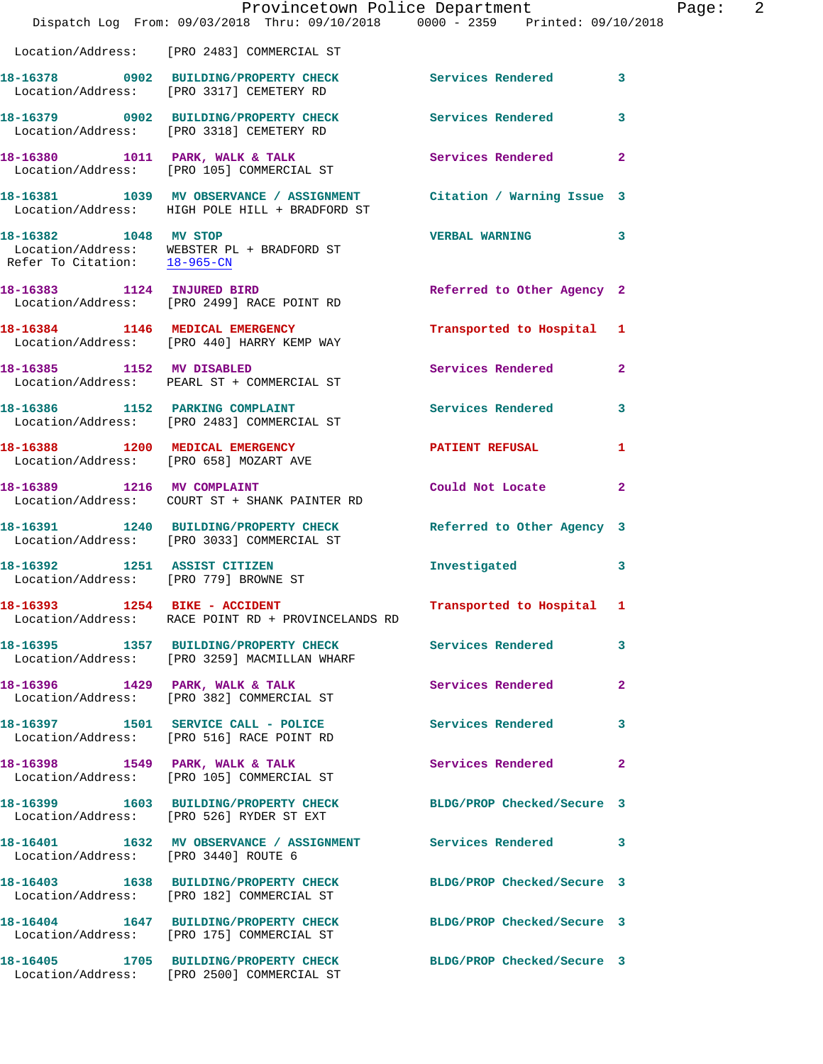|                                       | Provincetown Police Department<br>Dispatch Log From: 09/03/2018 Thru: 09/10/2018 0000 - 2359 Printed: 09/10/2018      |                            |                |
|---------------------------------------|-----------------------------------------------------------------------------------------------------------------------|----------------------------|----------------|
|                                       |                                                                                                                       |                            |                |
|                                       | Location/Address: [PRO 2483] COMMERCIAL ST                                                                            |                            |                |
|                                       | 18-16378 0902 BUILDING/PROPERTY CHECK<br>Location/Address: [PRO 3317] CEMETERY RD                                     | Services Rendered          | $\mathbf{3}$   |
|                                       | 18-16379 0902 BUILDING/PROPERTY CHECK<br>Location/Address: [PRO 3318] CEMETERY RD                                     | <b>Services Rendered</b>   | 3              |
|                                       | 18-16380 1011 PARK, WALK & TALK<br>Location/Address: [PRO 105] COMMERCIAL ST                                          | Services Rendered          | $\overline{2}$ |
|                                       | 18-16381 1039 MV OBSERVANCE / ASSIGNMENT Citation / Warning Issue 3<br>Location/Address: HIGH POLE HILL + BRADFORD ST |                            |                |
| 18-16382 1048 MV STOP                 | Location/Address: WEBSTER PL + BRADFORD ST<br>Refer To Citation: $\frac{18-965-CN}{\pi}$                              | <b>VERBAL WARNING</b>      | 3              |
|                                       | 18-16383 1124 INJURED BIRD<br>Location/Address: [PRO 2499] RACE POINT RD                                              | Referred to Other Agency 2 |                |
|                                       | 18-16384 1146 MEDICAL EMERGENCY<br>Location/Address: [PRO 440] HARRY KEMP WAY                                         | Transported to Hospital 1  |                |
| 18-16385 1152 MV DISABLED             | Location/Address: PEARL ST + COMMERCIAL ST                                                                            | <b>Services Rendered</b>   | $\overline{2}$ |
|                                       | 18-16386 1152 PARKING COMPLAINT<br>Location/Address: [PRO 2483] COMMERCIAL ST                                         | <b>Services Rendered</b>   | 3              |
|                                       | 18-16388 1200 MEDICAL EMERGENCY<br>Location/Address: [PRO 658] MOZART AVE                                             | <b>PATIENT REFUSAL</b>     | 1              |
| 18-16389 1216 MV COMPLAINT            | Location/Address: COURT ST + SHANK PAINTER RD                                                                         | Could Not Locate           | 2              |
|                                       | 18-16391 1240 BUILDING/PROPERTY CHECK Referred to Other Agency 3<br>Location/Address: [PRO 3033] COMMERCIAL ST        |                            |                |
| Location/Address: [PRO 779] BROWNE ST | 18-16392 1251 ASSIST CITIZEN                                                                                          | Investigated               | 3              |
|                                       | 18-16393 1254 BIKE - ACCIDENT<br>Location/Address: RACE POINT RD + PROVINCELANDS RD                                   | Transported to Hospital 1  |                |
|                                       | 18-16395 1357 BUILDING/PROPERTY CHECK Services Rendered<br>Location/Address: [PRO 3259] MACMILLAN WHARF               |                            | 3              |
|                                       | 18-16396 1429 PARK, WALK & TALK<br>Location/Address: [PRO 382] COMMERCIAL ST                                          | Services Rendered          | $\overline{a}$ |
|                                       | 18-16397 1501 SERVICE CALL - POLICE<br>Location/Address: [PRO 516] RACE POINT RD                                      | Services Rendered          | 3              |
|                                       | 18-16398 1549 PARK, WALK & TALK<br>Location/Address: [PRO 105] COMMERCIAL ST                                          | Services Rendered          | $\mathbf{2}$   |
|                                       | 18-16399 1603 BUILDING/PROPERTY CHECK<br>Location/Address: [PRO 526] RYDER ST EXT                                     | BLDG/PROP Checked/Secure 3 |                |
| Location/Address: [PRO 3440] ROUTE 6  | 18-16401 1632 MV OBSERVANCE / ASSIGNMENT Services Rendered                                                            |                            | 3              |
|                                       | 18-16403 1638 BUILDING/PROPERTY CHECK<br>Location/Address: [PRO 182] COMMERCIAL ST                                    | BLDG/PROP Checked/Secure 3 |                |
|                                       | 18-16404 1647 BUILDING/PROPERTY CHECK BLDG/PROP Checked/Secure 3<br>Location/Address: [PRO 175] COMMERCIAL ST         |                            |                |
|                                       | 18-16405 1705 BUILDING/PROPERTY CHECK<br>Location/Address: [PRO 2500] COMMERCIAL ST                                   | BLDG/PROP Checked/Secure 3 |                |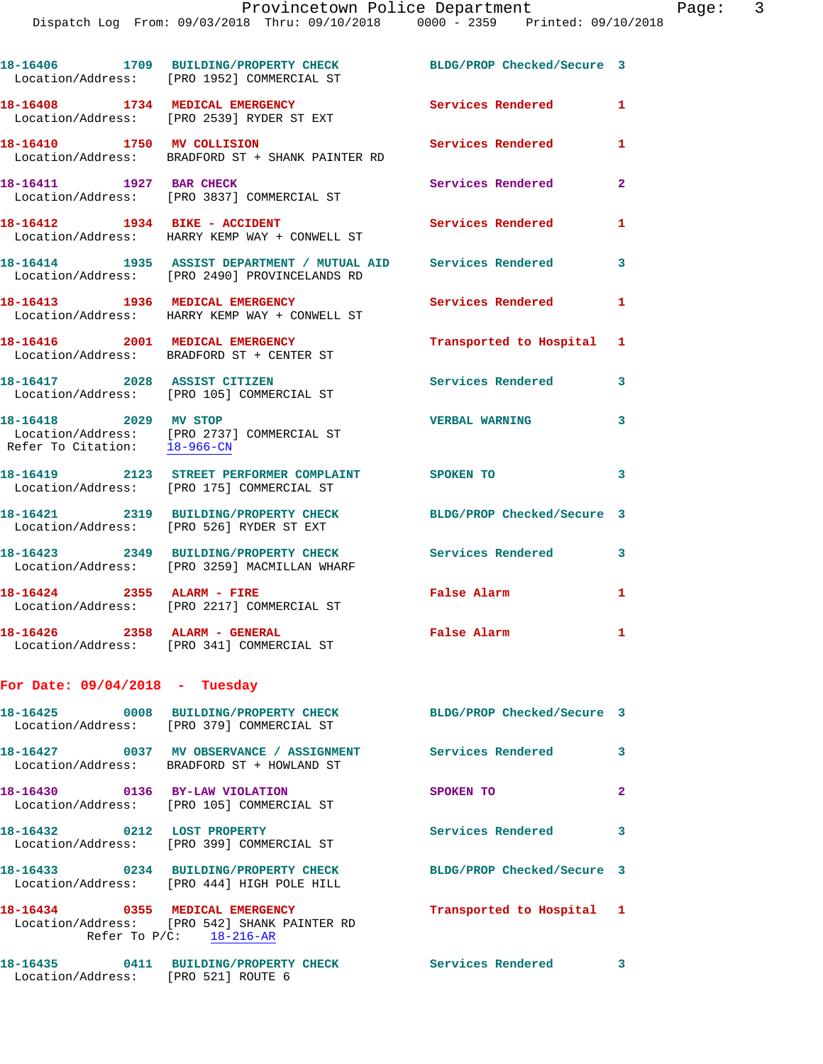|                                     | 18-16406 1709 BUILDING/PROPERTY CHECK<br>Location/Address: [PRO 1952] COMMERCIAL ST                                                           | BLDG/PROP Checked/Secure 3 |              |
|-------------------------------------|-----------------------------------------------------------------------------------------------------------------------------------------------|----------------------------|--------------|
|                                     | 18-16408 1734 MEDICAL EMERGENCY<br>Location/Address: [PRO 2539] RYDER ST EXT                                                                  | Services Rendered          | 1            |
| 18-16410 1750 MV COLLISION          | Location/Address: BRADFORD ST + SHANK PAINTER RD                                                                                              | Services Rendered          | 1            |
| 18-16411 1927 BAR CHECK             | Location/Address: [PRO 3837] COMMERCIAL ST                                                                                                    | Services Rendered          | $\mathbf{2}$ |
| 18-16412    1934    BIKE - ACCIDENT | Location/Address: HARRY KEMP WAY + CONWELL ST                                                                                                 | Services Rendered          | $\mathbf{1}$ |
|                                     | 18-16414                1935    ASSIST DEPARTMENT  /  MUTUAL  AID         Services  Rendered<br>Location/Address: [PRO 2490] PROVINCELANDS RD |                            | 3            |
|                                     | 18-16413 1936 MEDICAL EMERGENCY<br>Location/Address: HARRY KEMP WAY + CONWELL ST                                                              | Services Rendered          | $\mathbf{1}$ |
|                                     | 18-16416 2001 MEDICAL EMERGENCY<br>Location/Address: BRADFORD ST + CENTER ST                                                                  | Transported to Hospital 1  |              |
| 18-16417 2028 ASSIST CITIZEN        | Location/Address: [PRO 105] COMMERCIAL ST                                                                                                     | <b>Services Rendered</b>   | 3            |
| 18-16418 2029 MV STOP               | Location/Address: [PRO 2737] COMMERCIAL ST<br>Refer To Citation: 18-966-CN                                                                    | <b>VERBAL WARNING</b>      | 3            |
|                                     | 18-16419 2123 STREET PERFORMER COMPLAINT<br>Location/Address: [PRO 175] COMMERCIAL ST                                                         | <b>SPOKEN TO</b>           | 3            |
|                                     | 18-16421 2319 BUILDING/PROPERTY CHECK<br>Location/Address: [PRO 526] RYDER ST EXT                                                             | BLDG/PROP Checked/Secure 3 |              |
|                                     | 18-16423 2349 BUILDING/PROPERTY CHECK<br>Location/Address: [PRO 3259] MACMILLAN WHARF                                                         | <b>Services Rendered</b>   | 3            |
| 18-16424 2355 ALARM - FIRE          | Location/Address: [PRO 2217] COMMERCIAL ST                                                                                                    | False Alarm                | 1            |
| 18-16426 2358 ALARM - GENERAL       | Location/Address: [PRO 341] COMMERCIAL ST                                                                                                     | False Alarm                | 1            |
| For Date: $09/04/2018$ - Tuesday    |                                                                                                                                               |                            |              |
|                                     | 18-16425 0008 BUILDING/PROPERTY CHECK<br>Location/Address: [PRO 379] COMMERCIAL ST                                                            | BLDG/PROP Checked/Secure 3 |              |
|                                     | 18-16427 0037 MV OBSERVANCE / ASSIGNMENT<br>Location/Address: BRADFORD ST + HOWLAND ST                                                        | <b>Services Rendered</b>   | 3            |
| 18-16430 0136 BY-LAW VIOLATION      | Location/Address: [PRO 105] COMMERCIAL ST                                                                                                     | SPOKEN TO                  | $\mathbf{2}$ |
| 18-16432 0212 LOST PROPERTY         | Location/Address: [PRO 399] COMMERCIAL ST                                                                                                     | Services Rendered          | 3            |
|                                     | 18-16433 0234 BUILDING/PROPERTY CHECK BLDG/PROP Checked/Secure 3<br>Location/Address: [PRO 444] HIGH POLE HILL                                |                            |              |
| 18-16434 0355 MEDICAL EMERGENCY     | Location/Address: [PRO 542] SHANK PAINTER RD<br>Refer To $P/C$ : 18-216-AR                                                                    | Transported to Hospital 1  |              |
| Location/Address: [PRO 521] ROUTE 6 | 18-16435 0411 BUILDING/PROPERTY CHECK Services Rendered 3                                                                                     |                            |              |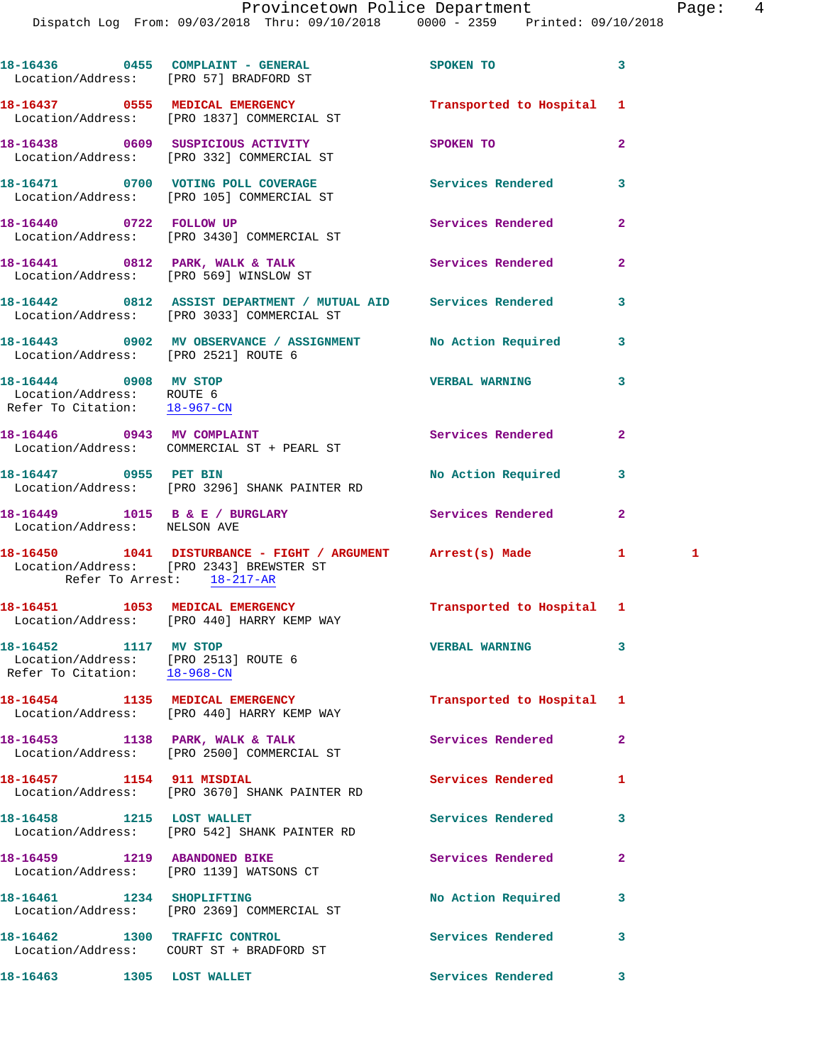|                                                                                               | 18-16436 0455 COMPLAINT - GENERAL<br>Location/Address: [PRO 57] BRADFORD ST                                                           | SPOKEN TO                 | 3              |   |
|-----------------------------------------------------------------------------------------------|---------------------------------------------------------------------------------------------------------------------------------------|---------------------------|----------------|---|
|                                                                                               | 18-16437 0555 MEDICAL EMERGENCY<br>Location/Address: [PRO 1837] COMMERCIAL ST                                                         | Transported to Hospital   | 1              |   |
|                                                                                               | 18-16438 0609 SUSPICIOUS ACTIVITY<br>Location/Address: [PRO 332] COMMERCIAL ST                                                        | SPOKEN TO                 | $\overline{a}$ |   |
|                                                                                               | 18-16471 0700 VOTING POLL COVERAGE<br>Location/Address: [PRO 105] COMMERCIAL ST                                                       | Services Rendered         | 3              |   |
|                                                                                               | 18-16440 0722 FOLLOW UP<br>Location/Address: [PRO 3430] COMMERCIAL ST                                                                 | Services Rendered         | 2              |   |
|                                                                                               | 18-16441 0812 PARK, WALK & TALK<br>Location/Address: [PRO 569] WINSLOW ST                                                             | Services Rendered         | $\overline{2}$ |   |
|                                                                                               | 18-16442 0812 ASSIST DEPARTMENT / MUTUAL AID Services Rendered<br>Location/Address: [PRO 3033] COMMERCIAL ST                          |                           | 3              |   |
| Location/Address: [PRO 2521] ROUTE 6                                                          | 18-16443 0902 MV OBSERVANCE / ASSIGNMENT No Action Required                                                                           |                           | 3              |   |
| 18-16444 0908 MV STOP<br>Location/Address: ROUTE 6<br>Refer To Citation: 18-967-CN            |                                                                                                                                       | <b>VERBAL WARNING</b>     | 3              |   |
|                                                                                               | 18-16446 0943 MV COMPLAINT<br>Location/Address: COMMERCIAL ST + PEARL ST                                                              | Services Rendered         | 2              |   |
| 18-16447 0955 PET BIN                                                                         | Location/Address: [PRO 3296] SHANK PAINTER RD                                                                                         | No Action Required        | 3              |   |
| Location/Address: NELSON AVE                                                                  | 18-16449 1015 B & E / BURGLARY                                                                                                        | Services Rendered         | 2              |   |
|                                                                                               | 18-16450 1041 DISTURBANCE - FIGHT / ARGUMENT Arrest(s) Made<br>Location/Address: [PRO 2343] BREWSTER ST<br>Refer To Arrest: 18-217-AR |                           | $\mathbf{1}$   | 1 |
|                                                                                               | 18-16451 1053 MEDICAL EMERGENCY<br>Location/Address: [PRO 440] HARRY KEMP WAY                                                         | Transported to Hospital 1 |                |   |
| 18-16452 1117 MV STOP<br>Location/Address: [PRO 2513] ROUTE 6<br>Refer To Citation: 18-968-CN |                                                                                                                                       | <b>VERBAL WARNING</b>     |                |   |
|                                                                                               | 18-16454 1135 MEDICAL EMERGENCY<br>Location/Address: [PRO 440] HARRY KEMP WAY                                                         | Transported to Hospital 1 |                |   |
|                                                                                               | 18-16453 1138 PARK, WALK & TALK<br>Location/Address: [PRO 2500] COMMERCIAL ST                                                         | Services Rendered         | $\mathbf{2}$   |   |
| 18-16457 1154 911 MISDIAL                                                                     | Location/Address: [PRO 3670] SHANK PAINTER RD                                                                                         | Services Rendered         | 1              |   |
| 18-16458 1215 LOST WALLET                                                                     | Location/Address: [PRO 542] SHANK PAINTER RD                                                                                          | Services Rendered         | 3              |   |
| 18-16459 1219 ABANDONED BIKE                                                                  | Location/Address: [PRO 1139] WATSONS CT                                                                                               | Services Rendered         | 2              |   |
| 18-16461 1234 SHOPLIFTING                                                                     | Location/Address: [PRO 2369] COMMERCIAL ST                                                                                            | No Action Required        | 3              |   |
| 18-16462 1300 TRAFFIC CONTROL                                                                 | Location/Address: COURT ST + BRADFORD ST                                                                                              | Services Rendered         | 3              |   |
| 18-16463                                                                                      | 1305 LOST WALLET                                                                                                                      | Services Rendered         | 3              |   |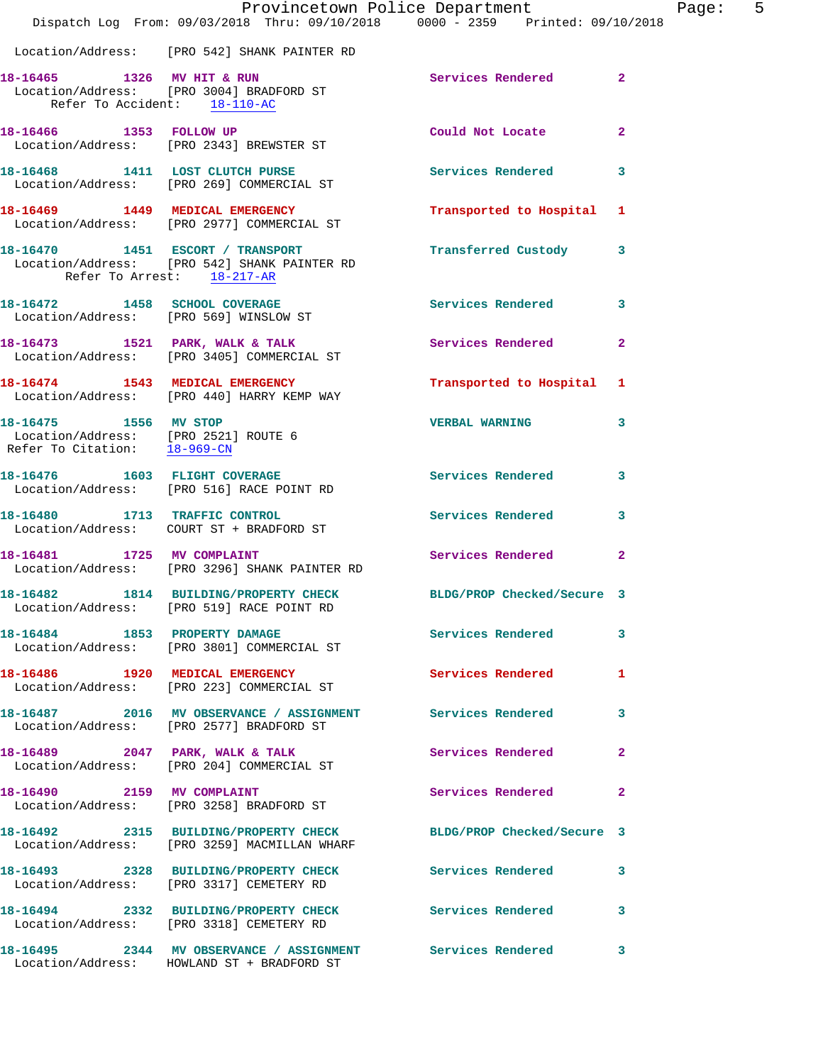|                                                                                                            | Dispatch Log From: 09/03/2018 Thru: 09/10/2018 0000 - 2359 Printed: 09/10/2018                                   | Provincetown Police Department | Page:          | 5 |
|------------------------------------------------------------------------------------------------------------|------------------------------------------------------------------------------------------------------------------|--------------------------------|----------------|---|
|                                                                                                            | Location/Address: [PRO 542] SHANK PAINTER RD                                                                     |                                |                |   |
| Refer To Accident: 18-110-AC                                                                               | 18-16465 1326 MV HIT & RUN<br>Location/Address: [PRO 3004] BRADFORD ST                                           | Services Rendered 2            |                |   |
|                                                                                                            | 18-16466 1353 FOLLOW UP<br>Location/Address: [PRO 2343] BREWSTER ST                                              | Could Not Locate               | $\mathbf{2}$   |   |
|                                                                                                            | 18-16468 1411 LOST CLUTCH PURSE<br>Location/Address: [PRO 269] COMMERCIAL ST                                     | <b>Services Rendered</b>       | $\mathbf{3}$   |   |
|                                                                                                            | 18-16469 1449 MEDICAL EMERGENCY<br>Location/Address: [PRO 2977] COMMERCIAL ST                                    | Transported to Hospital 1      |                |   |
| Refer To Arrest: 18-217-AR                                                                                 | 18-16470   1451   ESCORT / TRANSPORT<br>Location/Address: [PRO 542] SHANK PAINTER RD                             | Transferred Custody 3          |                |   |
|                                                                                                            | 18-16472 1458 SCHOOL COVERAGE<br>Location/Address: [PRO 569] WINSLOW ST                                          | Services Rendered 3            |                |   |
|                                                                                                            | 18-16473 1521 PARK, WALK & TALK<br>Location/Address: [PRO 3405] COMMERCIAL ST                                    | Services Rendered              | $\overline{2}$ |   |
|                                                                                                            | 18-16474 1543 MEDICAL EMERGENCY<br>Location/Address: [PRO 440] HARRY KEMP WAY                                    | Transported to Hospital 1      |                |   |
| 18-16475 1556 MV STOP<br>Location/Address: [PRO 2521] ROUTE 6<br>Refer To Citation: $\frac{18-969-CN}{\ }$ |                                                                                                                  | VERBAL WARNING 3               |                |   |
|                                                                                                            | 18-16476   1603   FLIGHT COVERAGE<br>Location/Address: [PRO 516] RACE POINT RD                                   | Services Rendered 3            |                |   |
|                                                                                                            | 18-16480 1713 TRAFFIC CONTROL<br>Location/Address: COURT ST + BRADFORD ST                                        | Services Rendered 3            |                |   |
| 18-16481 1725 MV COMPLAINT                                                                                 | Location/Address: [PRO 3296] SHANK PAINTER RD                                                                    | Services Rendered              | $\mathbf{2}$   |   |
|                                                                                                            | 18-16482 1814 BUILDING/PROPERTY CHECK BLDG/PROP Checked/Secure 3<br>Location/Address: [PRO 519] RACE POINT RD    |                                |                |   |
|                                                                                                            | 18-16484 1853 PROPERTY DAMAGE<br>Location/Address: [PRO 3801] COMMERCIAL ST                                      | Services Rendered 3            |                |   |
|                                                                                                            | 18-16486 1920 MEDICAL EMERGENCY<br>Location/Address: [PRO 223] COMMERCIAL ST                                     | Services Rendered              | 1              |   |
|                                                                                                            | 18-16487 2016 MV OBSERVANCE / ASSIGNMENT Services Rendered 3<br>Location/Address: [PRO 2577] BRADFORD ST         |                                |                |   |
|                                                                                                            | 18-16489 2047 PARK, WALK & TALK<br>Location/Address: [PRO 204] COMMERCIAL ST                                     | Services Rendered              | $\mathbf{2}$   |   |
|                                                                                                            | 18-16490 2159 MV COMPLAINT<br>Location/Address: [PRO 3258] BRADFORD ST                                           | Services Rendered 2            |                |   |
|                                                                                                            | 18-16492 2315 BUILDING/PROPERTY CHECK BLDG/PROP Checked/Secure 3<br>Location/Address: [PRO 3259] MACMILLAN WHARF |                                |                |   |
|                                                                                                            | 18-16493 2328 BUILDING/PROPERTY CHECK<br>Location/Address: [PRO 3317] CEMETERY RD                                | Services Rendered 3            |                |   |
|                                                                                                            | 18-16494 2332 BUILDING/PROPERTY CHECK Services Rendered 3<br>Location/Address: [PRO 3318] CEMETERY RD            |                                |                |   |
|                                                                                                            | 18-16495 2344 MV OBSERVANCE / ASSIGNMENT Services Rendered 3<br>Location/Address: HOWLAND ST + BRADFORD ST       |                                |                |   |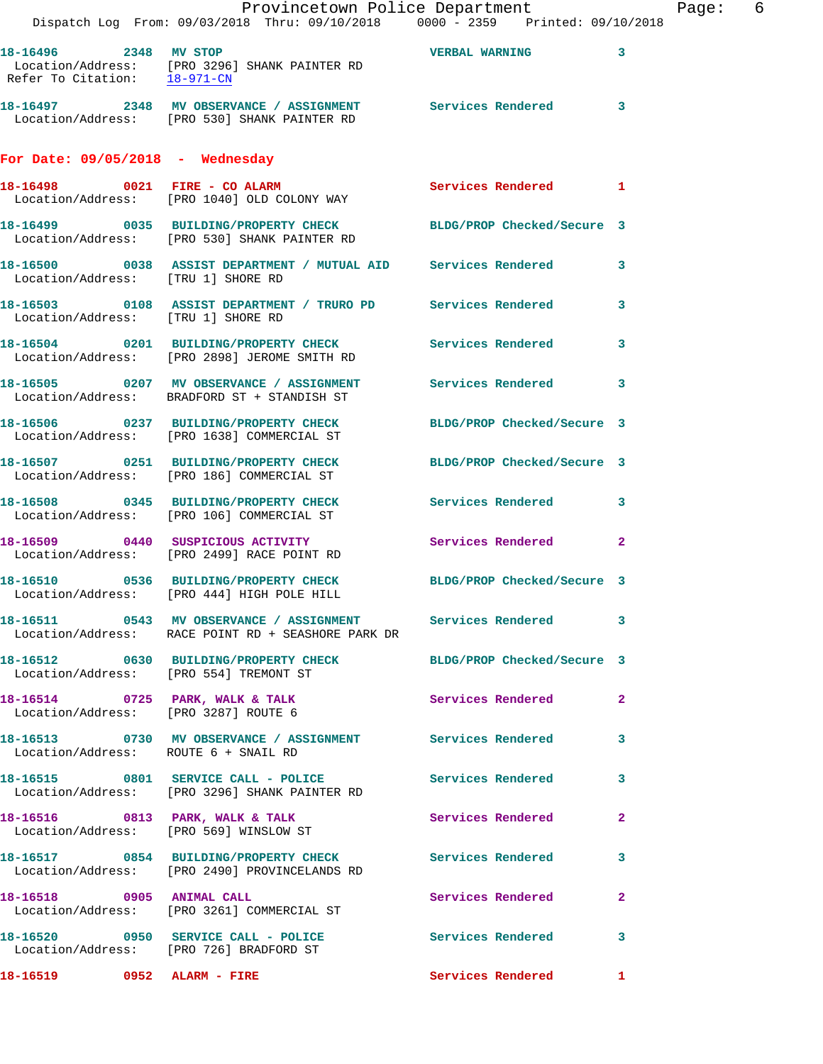|                                      | Provincetown Police Department<br>Dispatch Log From: 09/03/2018 Thru: 09/10/2018 0000 - 2359 Printed: 09/10/2018   |                     | Page: 6 |
|--------------------------------------|--------------------------------------------------------------------------------------------------------------------|---------------------|---------|
|                                      | Location/Address: [PRO 3296] SHANK PAINTER RD<br>Refer To Citation: $\frac{18-971-CN}{28-971-CN}$                  |                     |         |
|                                      | 18-16497 2348 MV OBSERVANCE / ASSIGNMENT Services Rendered 3<br>Location/Address: [PRO 530] SHANK PAINTER RD       |                     |         |
| For Date: $09/05/2018$ - Wednesday   |                                                                                                                    |                     |         |
|                                      | Location/Address: [PRO 1040] OLD COLONY WAY                                                                        |                     |         |
|                                      | 18-16499 0035 BUILDING/PROPERTY CHECK BLDG/PROP Checked/Secure 3<br>Location/Address: [PRO 530] SHANK PAINTER RD   |                     |         |
| Location/Address: [TRU 1] SHORE RD   | 18-16500 0038 ASSIST DEPARTMENT / MUTUAL AID Services Rendered 3                                                   |                     |         |
|                                      | 18-16503 0108 ASSIST DEPARTMENT / TRURO PD Services Rendered 3<br>Location/Address: [TRU 1] SHORE RD               |                     |         |
|                                      | 18-16504 0201 BUILDING/PROPERTY CHECK Services Rendered 3<br>Location/Address: [PRO 2898] JEROME SMITH RD          |                     |         |
|                                      | 18-16505 0207 MV OBSERVANCE / ASSIGNMENT Services Rendered 3<br>Location/Address: BRADFORD ST + STANDISH ST        |                     |         |
|                                      | 18-16506 0237 BUILDING/PROPERTY CHECK BLDG/PROP Checked/Secure 3<br>Location/Address: [PRO 1638] COMMERCIAL ST     |                     |         |
|                                      | 18-16507 0251 BUILDING/PROPERTY CHECK BLDG/PROP Checked/Secure 3<br>Location/Address: [PRO 186] COMMERCIAL ST      |                     |         |
|                                      | 18-16508 0345 BUILDING/PROPERTY CHECK Services Rendered 3<br>Location/Address: [PRO 106] COMMERCIAL ST             |                     |         |
|                                      | 18-16509 0440 SUSPICIOUS ACTIVITY Services Rendered 2<br>Location/Address: [PRO 2499] RACE POINT RD                |                     |         |
|                                      | 18-16510 0536 BUILDING/PROPERTY CHECK BLDG/PROP Checked/Secure 3<br>Location/Address: [PRO 444] HIGH POLE HILL     |                     |         |
|                                      | 18-16511 0543 MV OBSERVANCE / ASSIGNMENT Services Rendered 3<br>Location/Address: RACE POINT RD + SEASHORE PARK DR |                     |         |
|                                      | 18-16512 0630 BUILDING/PROPERTY CHECK BLDG/PROP Checked/Secure 3<br>Location/Address: [PRO 554] TREMONT ST         |                     |         |
|                                      | 18-16514 0725 PARK, WALK & TALK<br>Location/Address: [PRO 3287] ROUTE 6                                            | Services Rendered 2 |         |
| Location/Address: ROUTE 6 + SNAIL RD | 18-16513 0730 MV OBSERVANCE / ASSIGNMENT Services Rendered 3                                                       |                     |         |
|                                      | 18-16515 0801 SERVICE CALL - POLICE 3 Services Rendered 3<br>Location/Address: [PRO 3296] SHANK PAINTER RD         |                     |         |
|                                      | 18-16516 0813 PARK, WALK & TALK 3 Services Rendered 2<br>Location/Address: [PRO 569] WINSLOW ST                    |                     |         |
|                                      | 18-16517 0854 BUILDING/PROPERTY CHECK Services Rendered 3<br>Location/Address: [PRO 2490] PROVINCELANDS RD         |                     |         |
|                                      | 18-16518 0905 ANIMAL CALL<br>Location/Address: [PRO 3261] COMMERCIAL ST                                            | Services Rendered 2 |         |
|                                      | 18-16520 0950 SERVICE CALL - POLICE Services Rendered 3<br>Location/Address: [PRO 726] BRADFORD ST                 |                     |         |
| 18-16519 0952 ALARM - FIRE           |                                                                                                                    | Services Rendered 1 |         |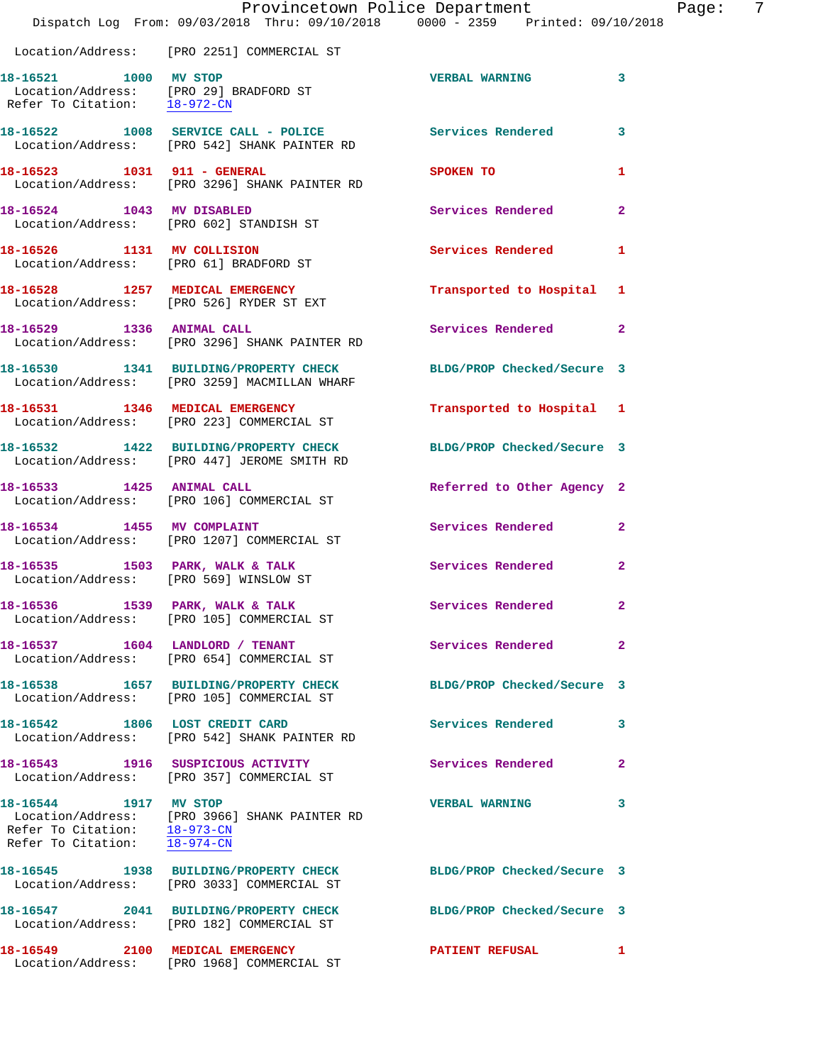|                                                                    | Provincetown Police Department                                                                                  |                            |                |
|--------------------------------------------------------------------|-----------------------------------------------------------------------------------------------------------------|----------------------------|----------------|
|                                                                    | Dispatch Log From: 09/03/2018 Thru: 09/10/2018 0000 - 2359 Printed: 09/10/2018                                  |                            |                |
|                                                                    | Location/Address: [PRO 2251] COMMERCIAL ST                                                                      |                            |                |
| 18-16521 1000 MV STOP                                              |                                                                                                                 | <b>VERBAL WARNING</b>      | 3              |
|                                                                    | Location/Address: [PRO 29] BRADFORD ST<br>Refer To Citation: 18-972-CN                                          |                            |                |
|                                                                    | 18-16522 1008 SERVICE CALL - POLICE<br>Location/Address: [PRO 542] SHANK PAINTER RD                             | Services Rendered          | 3              |
| 18-16523 1031 911 - GENERAL                                        | Location/Address: [PRO 3296] SHANK PAINTER RD                                                                   | SPOKEN TO                  | 1              |
| 18-16524 1043 MV DISABLED                                          | Location/Address: [PRO 602] STANDISH ST                                                                         | Services Rendered          | $\overline{a}$ |
| 18-16526 1131 MV COLLISION                                         | Location/Address: [PRO 61] BRADFORD ST                                                                          | Services Rendered          | 1              |
|                                                                    | 18-16528 1257 MEDICAL EMERGENCY<br>Location/Address: [PRO 526] RYDER ST EXT                                     | Transported to Hospital 1  |                |
|                                                                    | 18-16529 1336 ANIMAL CALL<br>Location/Address: [PRO 3296] SHANK PAINTER RD                                      | Services Rendered          | $\mathbf{2}$   |
|                                                                    | 18-16530 1341 BUILDING/PROPERTY CHECK<br>Location/Address: [PRO 3259] MACMILLAN WHARF                           | BLDG/PROP Checked/Secure 3 |                |
|                                                                    | 18-16531 1346 MEDICAL EMERGENCY<br>Location/Address: [PRO 223] COMMERCIAL ST                                    | Transported to Hospital 1  |                |
|                                                                    | 18-16532 1422 BUILDING/PROPERTY CHECK BLDG/PROP Checked/Secure 3<br>Location/Address: [PRO 447] JEROME SMITH RD |                            |                |
| 18-16533 1425 ANIMAL CALL                                          | Location/Address: [PRO 106] COMMERCIAL ST                                                                       | Referred to Other Agency 2 |                |
| 18-16534 1455 MV COMPLAINT                                         | Location/Address: [PRO 1207] COMMERCIAL ST                                                                      | Services Rendered          | $\mathbf{2}$   |
|                                                                    | 18-16535 1503 PARK, WALK & TALK<br>Location/Address: [PRO 569] WINSLOW ST                                       | Services Rendered          | $\overline{2}$ |
|                                                                    | 18-16536 1539 PARK, WALK & TALK<br>Location/Address: [PRO 105] COMMERCIAL ST                                    | <b>Services Rendered</b>   |                |
|                                                                    | 18-16537 1604 LANDLORD / TENANT<br>Location/Address: [PRO 654] COMMERCIAL ST                                    | Services Rendered          | $\overline{2}$ |
|                                                                    | 18-16538 1657 BUILDING/PROPERTY CHECK<br>Location/Address: [PRO 105] COMMERCIAL ST                              | BLDG/PROP Checked/Secure 3 |                |
|                                                                    | 18-16542 1806 LOST CREDIT CARD<br>Location/Address: [PRO 542] SHANK PAINTER RD                                  | Services Rendered          | 3              |
|                                                                    | 18-16543 1916 SUSPICIOUS ACTIVITY<br>Location/Address: [PRO 357] COMMERCIAL ST                                  | Services Rendered          | $\mathbf{2}$   |
| 18-16544 1917 MV STOP<br>Refer To Citation: $\overline{18-974-CN}$ | Location/Address: [PRO 3966] SHANK PAINTER RD<br>Refer To Citation: 18-973-CN                                   | <b>VERBAL WARNING</b>      | 3              |
|                                                                    | 18-16545 1938 BUILDING/PROPERTY CHECK<br>Location/Address: [PRO 3033] COMMERCIAL ST                             | BLDG/PROP Checked/Secure 3 |                |
|                                                                    | 18-16547 2041 BUILDING/PROPERTY CHECK<br>Location/Address: [PRO 182] COMMERCIAL ST                              | BLDG/PROP Checked/Secure 3 |                |
| 18-16549 2100 MEDICAL EMERGENCY                                    | Location/Address: [PRO 1968] COMMERCIAL ST                                                                      | <b>PATIENT REFUSAL</b>     | 1              |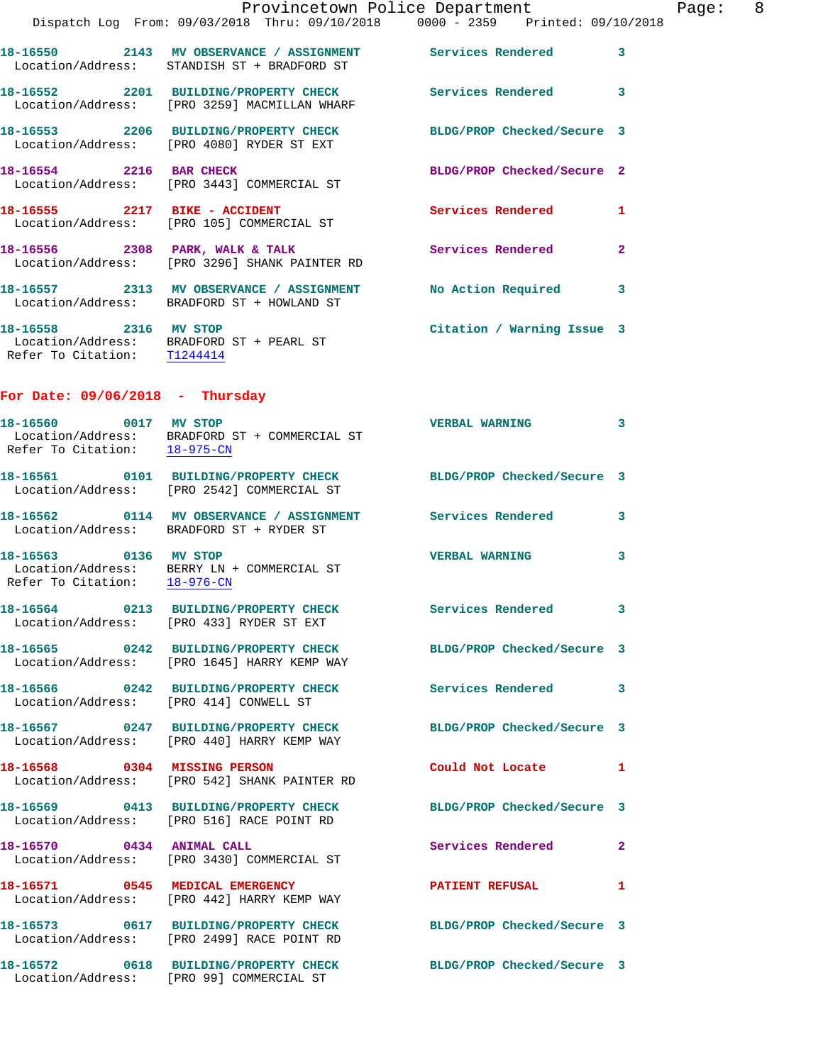|                                                       | Provincetown Police Department<br>Dispatch Log From: 09/03/2018 Thru: 09/10/2018 0000 - 2359 Printed: 09/10/2018 |                            |              |
|-------------------------------------------------------|------------------------------------------------------------------------------------------------------------------|----------------------------|--------------|
|                                                       | 18-16550 2143 MV OBSERVANCE / ASSIGNMENT Services Rendered<br>Location/Address: STANDISH ST + BRADFORD ST        |                            | 3            |
|                                                       | 18-16552 2201 BUILDING/PROPERTY CHECK Services Rendered<br>Location/Address: [PRO 3259] MACMILLAN WHARF          |                            | 3            |
|                                                       | 18-16553 2206 BUILDING/PROPERTY CHECK BLDG/PROP Checked/Secure 3<br>Location/Address: [PRO 4080] RYDER ST EXT    |                            |              |
| 18-16554 2216 BAR CHECK                               | Location/Address: [PRO 3443] COMMERCIAL ST                                                                       | BLDG/PROP Checked/Secure 2 |              |
|                                                       | 18-16555 2217 BIKE - ACCIDENT<br>Location/Address: [PRO 105] COMMERCIAL ST                                       | <b>Services Rendered</b>   | 1            |
|                                                       | 18-16556 2308 PARK, WALK & TALK<br>Location/Address: [PRO 3296] SHANK PAINTER RD                                 | <b>Services Rendered</b>   | $\mathbf{2}$ |
|                                                       | 18-16557 2313 MV OBSERVANCE / ASSIGNMENT<br>Location/Address: BRADFORD ST + HOWLAND ST                           | <b>No Action Required</b>  | 3            |
| 18-16558 2316 MV STOP<br>Refer To Citation: T1244414  | Location/Address: BRADFORD ST + PEARL ST                                                                         | Citation / Warning Issue 3 |              |
| For Date: $09/06/2018$ - Thursday                     |                                                                                                                  |                            |              |
|                                                       | 18-16560 0017 MV STOP<br>Location/Address: BRADFORD ST + COMMERCIAL ST<br>Refer To Citation: $18-975-CN$         | <b>VERBAL WARNING</b>      | 3            |
|                                                       | 18-16561 0101 BUILDING/PROPERTY CHECK BLDG/PROP Checked/Secure 3<br>Location/Address: [PRO 2542] COMMERCIAL ST   |                            |              |
|                                                       | 18-16562 0114 MV OBSERVANCE / ASSIGNMENT Services Rendered<br>Location/Address: BRADFORD ST + RYDER ST           |                            | 3            |
| 18-16563 0136 MV STOP<br>Refer To Citation: 18-976-CN | Location/Address: BERRY LN + COMMERCIAL ST                                                                       | <b>VERBAL WARNING</b>      | 3            |
|                                                       | 18-16564 0213 BUILDING/PROPERTY CHECK<br>Location/Address: [PRO 433] RYDER ST EXT                                | <b>Services Rendered</b>   | 3            |
|                                                       | 18-16565 0242 BUILDING/PROPERTY CHECK<br>Location/Address: [PRO 1645] HARRY KEMP WAY                             | BLDG/PROP Checked/Secure 3 |              |
|                                                       | 18-16566 0242 BUILDING/PROPERTY CHECK<br>Location/Address: [PRO 414] CONWELL ST                                  | <b>Services Rendered</b>   | 3            |
|                                                       | 18-16567 0247 BUILDING/PROPERTY CHECK<br>Location/Address: [PRO 440] HARRY KEMP WAY                              | BLDG/PROP Checked/Secure 3 |              |
|                                                       | 18-16568 0304 MISSING PERSON<br>Location/Address: [PRO 542] SHANK PAINTER RD                                     | Could Not Locate           | 1            |
|                                                       | 18-16569 0413 BUILDING/PROPERTY CHECK<br>Location/Address: [PRO 516] RACE POINT RD                               | BLDG/PROP Checked/Secure 3 |              |
|                                                       |                                                                                                                  |                            |              |

Location/Address: [PRO 3430] COMMERCIAL ST

Location/Address: [PRO 442] HARRY KEMP WAY

Location/Address: [PRO 2499] RACE POINT RD

Location/Address: [PRO 99] COMMERCIAL ST

**18-16570 0434 ANIMAL CALL Services Rendered 2 18-16571 0545 MEDICAL EMERGENCY PATIENT REFUSAL 1** 

**18-16573 0617 BUILDING/PROPERTY CHECK BLDG/PROP Checked/Secure 3** 

**18-16572 0618 BUILDING/PROPERTY CHECK BLDG/PROP Checked/Secure 3**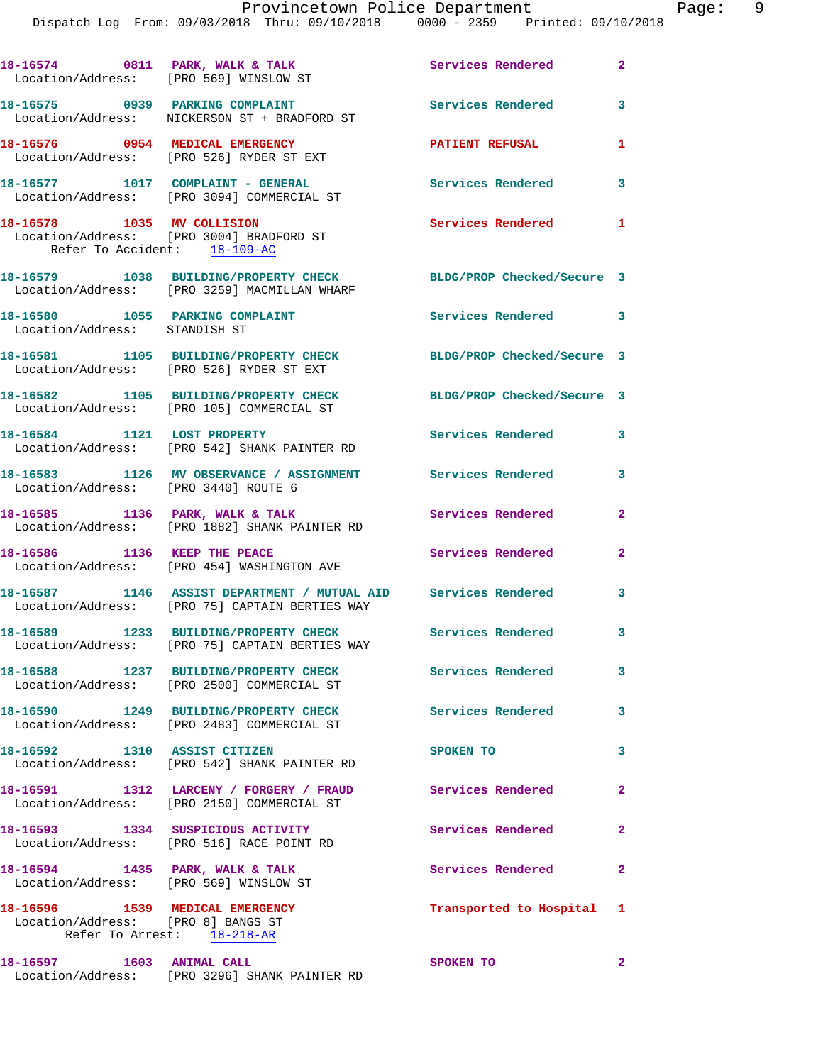|                                                                       | Dispatch Log From: 09/03/2018 Thru: 09/10/2018 0000 - 2359 Printed: 09/10/2018                                   |                            |                |
|-----------------------------------------------------------------------|------------------------------------------------------------------------------------------------------------------|----------------------------|----------------|
| 18-16574 0811 PARK, WALK & TALK                                       | Location/Address: [PRO 569] WINSLOW ST                                                                           | <b>Services Rendered</b>   | $\overline{a}$ |
|                                                                       | 18-16575 0939 PARKING COMPLAINT<br>Location/Address: NICKERSON ST + BRADFORD ST                                  | <b>Services Rendered</b>   | 3              |
| 18-16576 0954 MEDICAL EMERGENCY                                       | Location/Address: [PRO 526] RYDER ST EXT                                                                         | <b>PATIENT REFUSAL</b>     | 1              |
|                                                                       | 18-16577 1017 COMPLAINT - GENERAL<br>Location/Address: [PRO 3094] COMMERCIAL ST                                  | <b>Services Rendered</b>   | 3              |
| 18-16578 1035 MV COLLISION<br>Refer To Accident: 18-109-AC            | Location/Address: [PRO 3004] BRADFORD ST                                                                         | Services Rendered          | 1              |
|                                                                       | 18-16579 1038 BUILDING/PROPERTY CHECK<br>Location/Address: [PRO 3259] MACMILLAN WHARF                            | BLDG/PROP Checked/Secure 3 |                |
| 18-16580 1055 PARKING COMPLAINT<br>Location/Address: STANDISH ST      |                                                                                                                  | Services Rendered          | 3              |
|                                                                       | 18-16581 1105 BUILDING/PROPERTY CHECK<br>Location/Address: [PRO 526] RYDER ST EXT                                | BLDG/PROP Checked/Secure 3 |                |
|                                                                       | 18-16582 1105 BUILDING/PROPERTY CHECK<br>Location/Address: [PRO 105] COMMERCIAL ST                               | BLDG/PROP Checked/Secure 3 |                |
|                                                                       | 18-16584 1121 LOST PROPERTY<br>Location/Address: [PRO 542] SHANK PAINTER RD                                      | Services Rendered          | 3              |
| Location/Address: [PRO 3440] ROUTE 6                                  | 18-16583 1126 MV OBSERVANCE / ASSIGNMENT Services Rendered                                                       |                            | 3              |
|                                                                       | 18-16585 1136 PARK, WALK & TALK<br>Location/Address: [PRO 1882] SHANK PAINTER RD                                 | Services Rendered          | $\mathbf{2}$   |
|                                                                       | 18-16586 1136 KEEP THE PEACE<br>Location/Address: [PRO 454] WASHINGTON AVE                                       | Services Rendered          | 2              |
|                                                                       | 18-16587 1146 ASSIST DEPARTMENT / MUTUAL AID Services Rendered<br>Location/Address: [PRO 75] CAPTAIN BERTIES WAY |                            | 3              |
|                                                                       | 18-16589 1233 BUILDING/PROPERTY CHECK Services Rendered<br>Location/Address: [PRO 75] CAPTAIN BERTIES WAY        |                            | 3              |
|                                                                       | 18-16588 1237 BUILDING/PROPERTY CHECK<br>Location/Address: [PRO 2500] COMMERCIAL ST                              | Services Rendered          | 3              |
|                                                                       | 18-16590 1249 BUILDING/PROPERTY CHECK<br>Location/Address: [PRO 2483] COMMERCIAL ST                              | Services Rendered          | 3              |
| 18-16592 1310 ASSIST CITIZEN                                          | Location/Address: [PRO 542] SHANK PAINTER RD                                                                     | SPOKEN TO                  | 3              |
|                                                                       | 18-16591 1312 LARCENY / FORGERY / FRAUD<br>Location/Address: [PRO 2150] COMMERCIAL ST                            | Services Rendered          | 2              |
|                                                                       | 18-16593 1334 SUSPICIOUS ACTIVITY<br>Location/Address: [PRO 516] RACE POINT RD                                   | Services Rendered          | $\mathbf{2}$   |
| Location/Address: [PRO 569] WINSLOW ST                                | 18-16594 1435 PARK, WALK & TALK                                                                                  | <b>Services Rendered</b>   | 2              |
| 18-16596 1539 MEDICAL EMERGENCY<br>Location/Address: [PRO 8] BANGS ST | Refer To Arrest: 18-218-AR                                                                                       | Transported to Hospital    | 1              |
| 18-16597 1603 ANIMAL CALL                                             | Location/Address: [PRO 3296] SHANK PAINTER RD                                                                    | SPOKEN TO                  | $\mathbf{2}$   |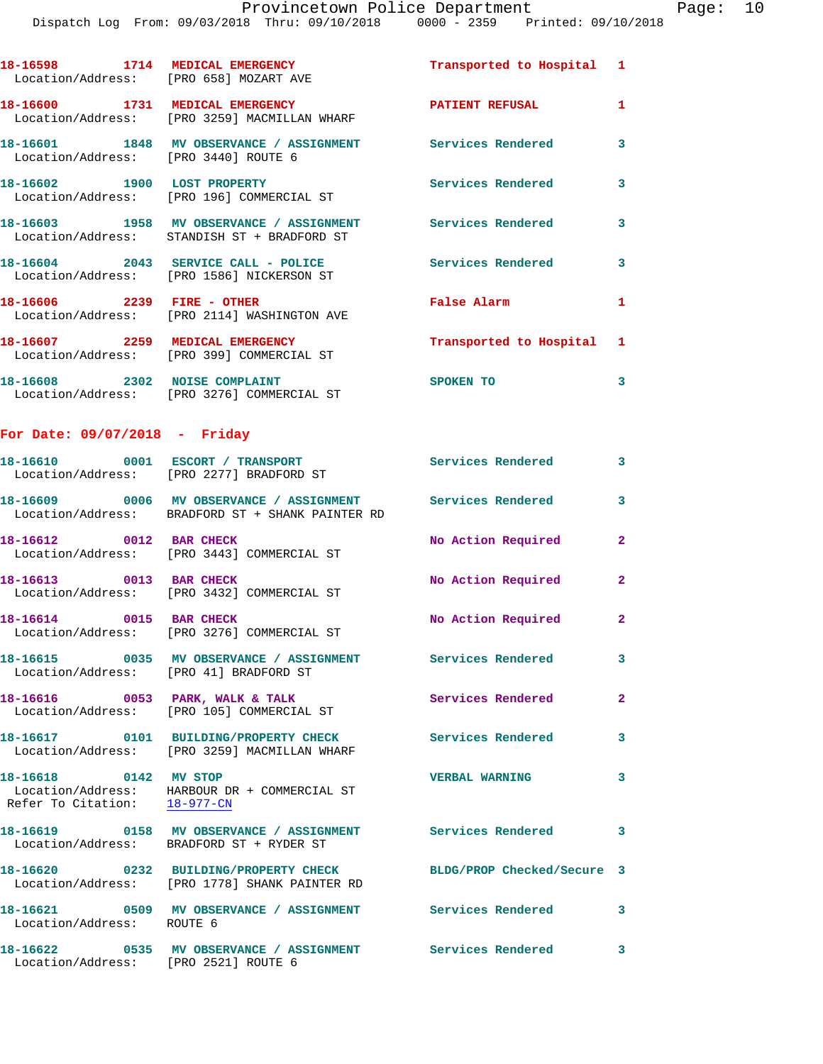| Location/Address: [PRO 658] MOZART AVE | 18-16598 1714 MEDICAL EMERGENCY                                                                           | Transported to Hospital 1 |                         |
|----------------------------------------|-----------------------------------------------------------------------------------------------------------|---------------------------|-------------------------|
|                                        | 18-16600 1731 MEDICAL EMERGENCY<br>Location/Address: [PRO 3259] MACMILLAN WHARF                           | <b>PATIENT REFUSAL</b>    | $\mathbf{1}$            |
| Location/Address: [PRO 3440] ROUTE 6   | 18-16601 1848 MV OBSERVANCE / ASSIGNMENT Services Rendered                                                |                           | $\mathbf{3}$            |
|                                        | 18-16602 1900 LOST PROPERTY<br>Location/Address: [PRO 196] COMMERCIAL ST                                  | <b>Services Rendered</b>  | $\mathbf{3}$            |
|                                        | 18-16603 1958 MV OBSERVANCE / ASSIGNMENT Services Rendered<br>Location/Address: STANDISH ST + BRADFORD ST |                           | $\mathbf{3}$            |
|                                        | Location/Address: [PRO 1586] NICKERSON ST                                                                 |                           | $\overline{\mathbf{3}}$ |
|                                        | 18-16606  2239    FIRE - OTHER<br>Location/Address: [PRO 2114] WASHINGTON AVE                             | False Alarm               | $\mathbf{1}$            |
|                                        | 18-16607 2259 MEDICAL EMERGENCY<br>Location/Address: [PRO 399] COMMERCIAL ST                              | Transported to Hospital 1 |                         |
|                                        | 18-16608 2302 NOISE COMPLAINT<br>Location/Address: [PRO 3276] COMMERCIAL ST                               | SPOKEN TO                 | 3                       |
| For Date: 09/07/2018 - Friday          |                                                                                                           |                           |                         |

|                                                       | Location/Address: [PRO 2277] BRADFORD ST                                               | Services Rendered          | 3 <sup>7</sup>          |
|-------------------------------------------------------|----------------------------------------------------------------------------------------|----------------------------|-------------------------|
|                                                       | Location/Address: BRADFORD ST + SHANK PAINTER RD                                       |                            | $\mathbf{3}$            |
| 18-16612 0012 BAR CHECK                               | Location/Address: [PRO 3443] COMMERCIAL ST                                             | No Action Required         | $\overline{2}$          |
| 18-16613 0013 BAR CHECK                               | Location/Address: [PRO 3432] COMMERCIAL ST                                             | No Action Required         | $\overline{2}$          |
| 18-16614 0015 BAR CHECK                               | Location/Address: [PRO 3276] COMMERCIAL ST                                             | No Action Required         | $\overline{2}$          |
| Location/Address: [PRO 41] BRADFORD ST                |                                                                                        |                            | $\mathbf{3}$            |
|                                                       | 18-16616 0053 PARK, WALK & TALK<br>Location/Address: [PRO 105] COMMERCIAL ST           | Services Rendered          | $\overline{2}$          |
|                                                       | Location/Address: [PRO 3259] MACMILLAN WHARF                                           | <b>Services Rendered</b>   | 3                       |
| 18-16618 0142 MV STOP<br>Refer To Citation: 18-977-CN | Location/Address: HARBOUR DR + COMMERCIAL ST                                           | <b>VERBAL WARNING</b>      | 3                       |
|                                                       | Location/Address: BRADFORD ST + RYDER ST                                               |                            | $\overline{\mathbf{3}}$ |
|                                                       | 18-16620 0232 BUILDING/PROPERTY CHECK<br>Location/Address: [PRO 1778] SHANK PAINTER RD | BLDG/PROP Checked/Secure 3 |                         |
| Location/Address: ROUTE 6                             | 18-16621  0509 MV OBSERVANCE / ASSIGNMENT  Services Rendered                           |                            | $\overline{\mathbf{3}}$ |
| 18-16622                                              | 0535 MV OBSERVANCE / ASSIGNMENT Services Rendered                                      |                            | 3                       |

Location/Address: [PRO 2521] ROUTE 6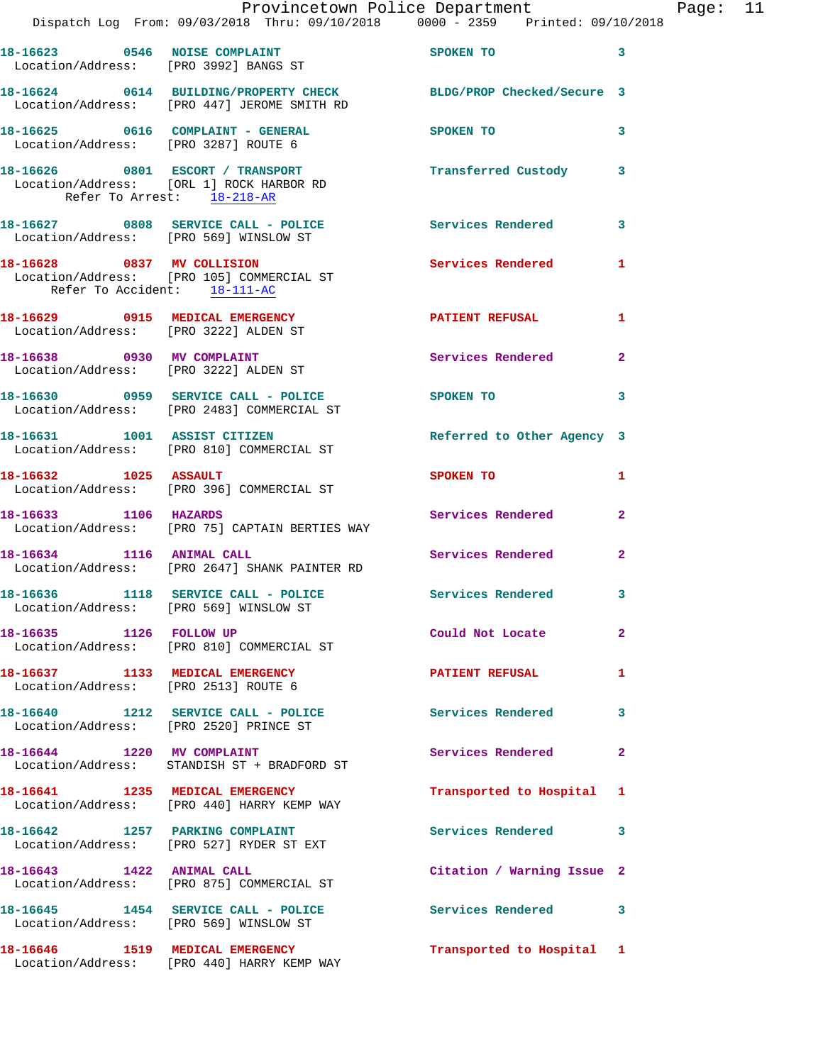|                                                                           | Provincetown Police Department                                                                                  |                            |                |
|---------------------------------------------------------------------------|-----------------------------------------------------------------------------------------------------------------|----------------------------|----------------|
|                                                                           | Dispatch Log From: 09/03/2018 Thru: 09/10/2018 0000 - 2359 Printed: 09/10/2018                                  |                            |                |
| Location/Address: [PRO 3992] BANGS ST                                     | 18-16623 0546 NOISE COMPLAINT                                                                                   | SPOKEN TO                  | 3              |
|                                                                           | 18-16624 0614 BUILDING/PROPERTY CHECK BLDG/PROP Checked/Secure 3<br>Location/Address: [PRO 447] JEROME SMITH RD |                            |                |
| 18-16625 0616 COMPLAINT - GENERAL<br>Location/Address: [PRO 3287] ROUTE 6 |                                                                                                                 | SPOKEN TO                  | 3              |
| Refer To Arrest: 18-218-AR                                                | 18-16626 0801 ESCORT / TRANSPORT<br>Location/Address: [ORL 1] ROCK HARBOR RD                                    | Transferred Custody        | 3              |
| Location/Address: [PRO 569] WINSLOW ST                                    | 18-16627 0808 SERVICE CALL - POLICE                                                                             | <b>Services Rendered</b>   | 3              |
| 18-16628 0837 MV COLLISION<br>Refer To Accident: 18-111-AC                | Location/Address: [PRO 105] COMMERCIAL ST                                                                       | <b>Services Rendered</b>   | 1              |
| 18-16629 0915 MEDICAL EMERGENCY<br>Location/Address: [PRO 3222] ALDEN ST  |                                                                                                                 | <b>PATIENT REFUSAL</b>     | 1.             |
| 18-16638 0930 MV COMPLAINT<br>Location/Address: [PRO 3222] ALDEN ST       |                                                                                                                 | Services Rendered          | $\overline{a}$ |
|                                                                           | 18-16630 0959 SERVICE CALL - POLICE<br>Location/Address: [PRO 2483] COMMERCIAL ST                               | SPOKEN TO                  | 3              |
|                                                                           | 18-16631 1001 ASSIST CITIZEN<br>Location/Address: [PRO 810] COMMERCIAL ST                                       | Referred to Other Agency 3 |                |
| 18-16632 1025 ASSAULT                                                     | Location/Address: [PRO 396] COMMERCIAL ST                                                                       | SPOKEN TO                  | 1              |
| 18-16633 1106 HAZARDS                                                     | Location/Address: [PRO 75] CAPTAIN BERTIES WAY                                                                  | Services Rendered          | $\overline{a}$ |
| 18-16634 1116 ANIMAL CALL                                                 | Location/Address: [PRO 2647] SHANK PAINTER RD                                                                   | Services Rendered          | $\overline{a}$ |
|                                                                           | 18-16636 1118 SERVICE CALL - POLICE 30 Services Rendered<br>Location/Address: [PRO 569] WINSLOW ST              |                            | 3              |
| 18-16635 1126 FOLLOW UP                                                   | Location/Address: [PRO 810] COMMERCIAL ST                                                                       | Could Not Locate           | $\mathbf{2}$   |
| Location/Address: [PRO 2513] ROUTE 6                                      | 18-16637 1133 MEDICAL EMERGENCY                                                                                 | <b>PATIENT REFUSAL</b>     | 1              |
|                                                                           | 18-16640 1212 SERVICE CALL - POLICE<br>Location/Address: [PRO 2520] PRINCE ST                                   | Services Rendered          | 3              |
|                                                                           | 18-16644 1220 MV COMPLAINT<br>Location/Address: STANDISH ST + BRADFORD ST                                       | <b>Services Rendered</b>   | $\mathbf{2}$   |
|                                                                           | 18-16641 1235 MEDICAL EMERGENCY<br>Location/Address: [PRO 440] HARRY KEMP WAY                                   | Transported to Hospital    | 1              |
|                                                                           | 18-16642 1257 PARKING COMPLAINT<br>Location/Address: [PRO 527] RYDER ST EXT                                     | Services Rendered          | 3              |
| 18-16643 1422 ANIMAL CALL                                                 | Location/Address: [PRO 875] COMMERCIAL ST                                                                       | Citation / Warning Issue 2 |                |
| Location/Address: [PRO 569] WINSLOW ST                                    | 18-16645   1454   SERVICE CALL - POLICE                                                                         | <b>Services Rendered</b>   | 3              |
| 18-16646 1519 MEDICAL EMERGENCY                                           | Location/Address: [PRO 440] HARRY KEMP WAY                                                                      | Transported to Hospital 1  |                |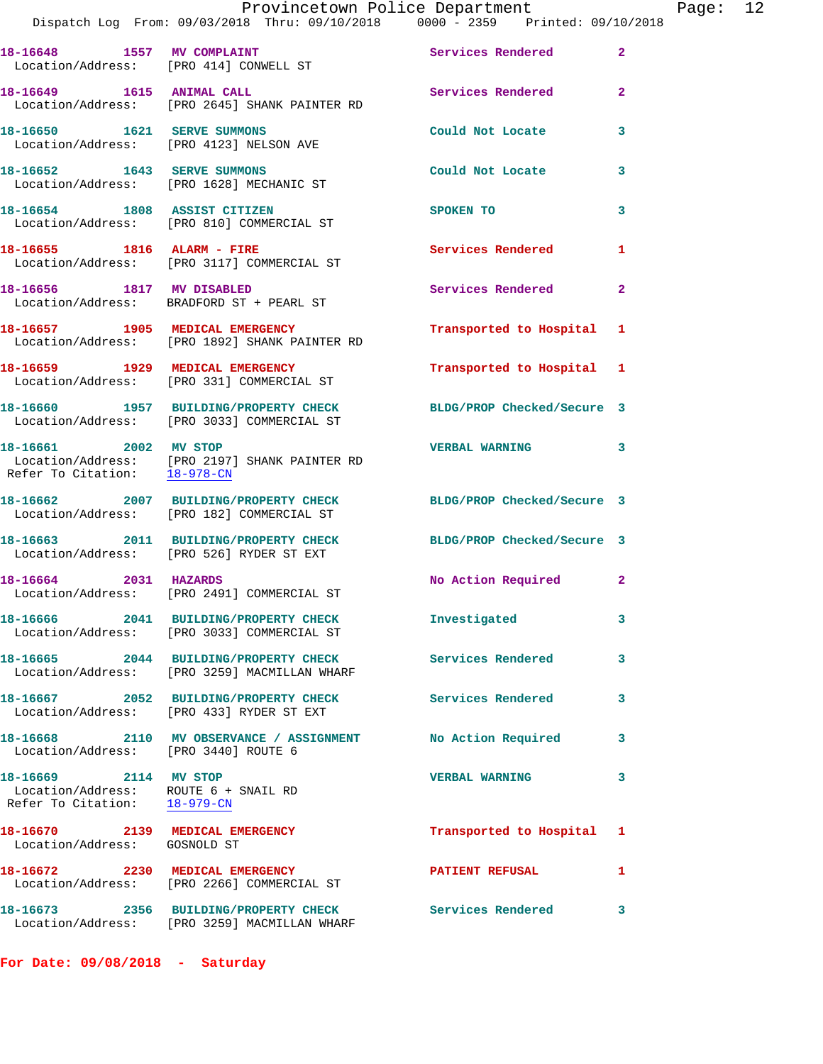|                                                                                               | 18-16648 1557 MV COMPLAINT<br>Location/Address: [PRO 414] CONWELL ST                  | Services Rendered          | $\mathbf{2}^-$ |
|-----------------------------------------------------------------------------------------------|---------------------------------------------------------------------------------------|----------------------------|----------------|
| 18-16649 1615 ANIMAL CALL                                                                     | Location/Address: [PRO 2645] SHANK PAINTER RD                                         | Services Rendered          | $\overline{2}$ |
| 18-16650 1621 SERVE SUMMONS                                                                   | Location/Address: [PRO 4123] NELSON AVE                                               | Could Not Locate           | 3              |
| 18-16652 1643 SERVE SUMMONS                                                                   | Location/Address: [PRO 1628] MECHANIC ST                                              | Could Not Locate           | 3              |
|                                                                                               | 18-16654 1808 ASSIST CITIZEN<br>Location/Address: [PRO 810] COMMERCIAL ST             | <b>SPOKEN TO</b>           | 3              |
| 18-16655 1816 ALARM - FIRE                                                                    | Location/Address: [PRO 3117] COMMERCIAL ST                                            | Services Rendered          | $\mathbf{1}$   |
|                                                                                               | 18-16656 1817 MV DISABLED<br>Location/Address: BRADFORD ST + PEARL ST                 | Services Rendered          | $\mathbf{2}$   |
| 18-16657 1905 MEDICAL EMERGENCY                                                               | Location/Address: [PRO 1892] SHANK PAINTER RD                                         | Transported to Hospital 1  |                |
|                                                                                               | 18-16659 1929 MEDICAL EMERGENCY<br>Location/Address: [PRO 331] COMMERCIAL ST          | Transported to Hospital 1  |                |
|                                                                                               | 18-16660 1957 BUILDING/PROPERTY CHECK<br>Location/Address: [PRO 3033] COMMERCIAL ST   | BLDG/PROP Checked/Secure 3 |                |
| 18-16661 2002 MV STOP<br>Refer To Citation: 18-978-CN                                         | Location/Address: [PRO 2197] SHANK PAINTER RD                                         | <b>VERBAL WARNING</b>      | 3              |
|                                                                                               | 18-16662 2007 BUILDING/PROPERTY CHECK<br>Location/Address: [PRO 182] COMMERCIAL ST    | BLDG/PROP Checked/Secure 3 |                |
|                                                                                               | 18-16663 2011 BUILDING/PROPERTY CHECK<br>Location/Address: [PRO 526] RYDER ST EXT     | BLDG/PROP Checked/Secure 3 |                |
| 18-16664 2031 HAZARDS                                                                         | Location/Address: [PRO 2491] COMMERCIAL ST                                            | No Action Required         | $\mathbf{2}$   |
|                                                                                               | 18-16666 2041 BUILDING/PROPERTY CHECK<br>Location/Address: [PRO 3033] COMMERCIAL ST   | Investigated               | 3              |
| 18-16665                                                                                      | 2044 BUILDING/PROPERTY CHECK<br>Location/Address: [PRO 3259] MACMILLAN WHARF          | Services Rendered          | 3              |
|                                                                                               | 18-16667 2052 BUILDING/PROPERTY CHECK<br>Location/Address: [PRO 433] RYDER ST EXT     | Services Rendered          | 3              |
| Location/Address: [PRO 3440] ROUTE 6                                                          | 18-16668 2110 MV OBSERVANCE / ASSIGNMENT                                              | No Action Required         | 3              |
| 18-16669 2114 MV STOP<br>Location/Address: ROUTE 6 + SNAIL RD<br>Refer To Citation: 18-979-CN |                                                                                       | <b>VERBAL WARNING</b>      | 3              |
| 18-16670 2139 MEDICAL EMERGENCY<br>Location/Address: GOSNOLD ST                               |                                                                                       | Transported to Hospital 1  |                |
| 18-16672 2230 MEDICAL EMERGENCY                                                               | Location/Address: [PRO 2266] COMMERCIAL ST                                            | <b>PATIENT REFUSAL</b>     | 1              |
|                                                                                               | 18-16673 2356 BUILDING/PROPERTY CHECK<br>Location/Address: [PRO 3259] MACMILLAN WHARF | Services Rendered          | 3              |

**For Date: 09/08/2018 - Saturday**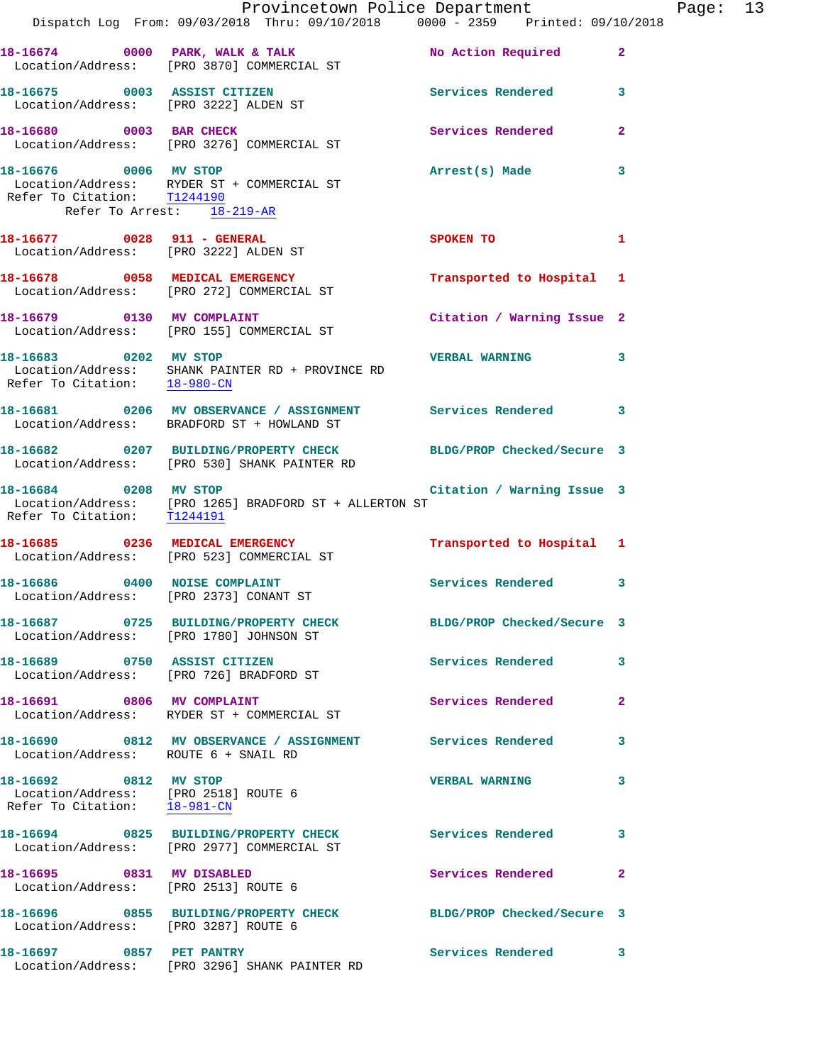|                                                                                               | Provincetown Police Department                                                                                                                                     |                             |                |
|-----------------------------------------------------------------------------------------------|--------------------------------------------------------------------------------------------------------------------------------------------------------------------|-----------------------------|----------------|
|                                                                                               | Dispatch Log From: 09/03/2018 Thru: 09/10/2018 0000 - 2359 Printed: 09/10/2018                                                                                     |                             |                |
|                                                                                               | 18-16674 0000 PARK, WALK & TALK<br>Location/Address: [PRO 3870] COMMERCIAL ST                                                                                      | No Action Required          | $\overline{2}$ |
| 18-16675 0003 ASSIST CITIZEN                                                                  | Location/Address: [PRO 3222] ALDEN ST                                                                                                                              | <b>Services Rendered</b>    | 3              |
|                                                                                               | 18-16680 0003 BAR CHECK<br>Location/Address: [PRO 3276] COMMERCIAL ST                                                                                              | Services Rendered           | $\overline{a}$ |
| 18-16676 0006 MV STOP<br>Refer To Citation: T1244190<br>Refer To Arrest: 18-219-AR            | Location/Address: RYDER ST + COMMERCIAL ST                                                                                                                         | Arrest(s) Made              | 3              |
| 18-16677 0028 911 - GENERAL                                                                   | Location/Address: [PRO 3222] ALDEN ST                                                                                                                              | SPOKEN TO AND THE SPOKEN TO | 1              |
|                                                                                               | 18-16678 0058 MEDICAL EMERGENCY<br>Location/Address: [PRO 272] COMMERCIAL ST                                                                                       | Transported to Hospital     | 1              |
| 18-16679 0130 MV COMPLAINT                                                                    | Location/Address: [PRO 155] COMMERCIAL ST                                                                                                                          | Citation / Warning Issue 2  |                |
| Refer To Citation: 18-980-CN                                                                  | 18-16683 0202 MV STOP<br>Location/Address: SHANK PAINTER RD + PROVINCE RD                                                                                          | <b>VERBAL WARNING</b>       | 3              |
|                                                                                               | 18-16681 0206 MV OBSERVANCE / ASSIGNMENT Services Rendered<br>Location/Address: BRADFORD ST + HOWLAND ST                                                           |                             | 3              |
|                                                                                               | 18-16682 0207 BUILDING/PROPERTY CHECK<br>Location/Address: [PRO 530] SHANK PAINTER RD                                                                              | BLDG/PROP Checked/Secure 3  |                |
|                                                                                               | 18-16684 0208 MV STOP<br>$\begin{tabular}{ll} Location/Address: & [PRO~1265] BRADFORD ST + ALLERTON ST \\ Refer To Citation: & \underline{T1244191} \end{tabular}$ | Citation / Warning Issue 3  |                |
|                                                                                               | 18-16685 0236 MEDICAL EMERGENCY<br>Location/Address: [PRO 523] COMMERCIAL ST                                                                                       | Transported to Hospital 1   |                |
| 18-16686 0400 NOISE COMPLAINT<br>Location/Address: [PRO 2373] CONANT ST                       |                                                                                                                                                                    | Services Rendered           | 3              |
|                                                                                               | 18-16687  0725 BUILDING/PROPERTY CHECK<br>Location/Address: [PRO 1780] JOHNSON ST                                                                                  | BLDG/PROP Checked/Secure 3  |                |
| 18-16689 0750 ASSIST CITIZEN                                                                  | Location/Address: [PRO 726] BRADFORD ST                                                                                                                            | Services Rendered           | 3              |
| 18-16691 0806 MV COMPLAINT                                                                    | Location/Address: RYDER ST + COMMERCIAL ST                                                                                                                         | Services Rendered           | $\mathbf{2}$   |
| Location/Address: ROUTE 6 + SNAIL RD                                                          | 18-16690 0812 MV OBSERVANCE / ASSIGNMENT Services Rendered                                                                                                         |                             | 3              |
| 18-16692 0812 MV STOP<br>Location/Address: [PRO 2518] ROUTE 6<br>Refer To Citation: 18-981-CN |                                                                                                                                                                    | <b>VERBAL WARNING</b>       | 3              |
|                                                                                               | 18-16694 0825 BUILDING/PROPERTY CHECK<br>Location/Address: [PRO 2977] COMMERCIAL ST                                                                                | Services Rendered           | 3              |
| 18-16695 0831 MV DISABLED                                                                     | Location/Address: [PRO 2513] ROUTE 6                                                                                                                               | Services Rendered           | $\mathbf{2}$   |
| Location/Address: [PRO 3287] ROUTE 6                                                          | 18-16696 0855 BUILDING/PROPERTY CHECK                                                                                                                              | BLDG/PROP Checked/Secure 3  |                |
| 18-16697 0857 PET PANTRY                                                                      | Location/Address: [PRO 3296] SHANK PAINTER RD                                                                                                                      | Services Rendered           | 3              |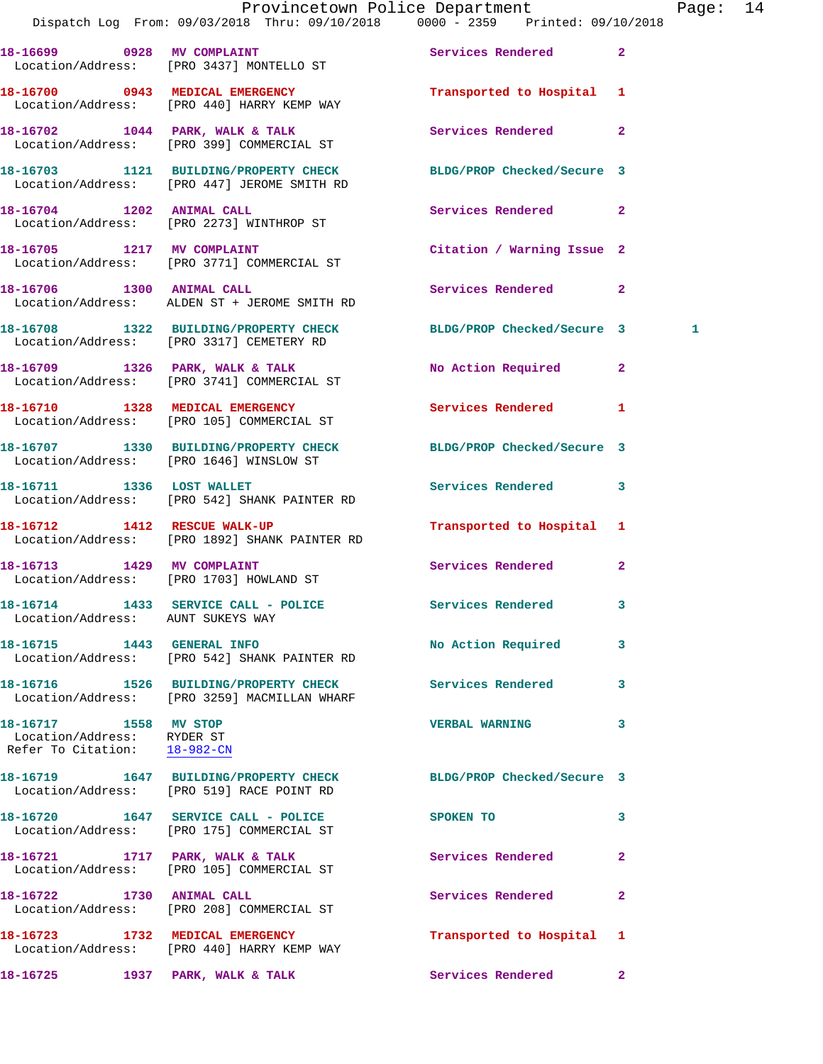|                                                                                     | Provincetown Police Department<br>Dispatch Log From: 09/03/2018 Thru: 09/10/2018 0000 - 2359 Printed: 09/10/2018 |                            | Page: 14     |
|-------------------------------------------------------------------------------------|------------------------------------------------------------------------------------------------------------------|----------------------------|--------------|
|                                                                                     |                                                                                                                  |                            |              |
|                                                                                     | 18-16699 0928 MV COMPLAINT<br>Location/Address: [PRO 3437] MONTELLO ST                                           | Services Rendered 2        |              |
|                                                                                     | 18-16700 0943 MEDICAL EMERGENCY<br>Location/Address: [PRO 440] HARRY KEMP WAY                                    | Transported to Hospital 1  |              |
|                                                                                     | 18-16702 1044 PARK, WALK & TALK<br>Location/Address: [PRO 399] COMMERCIAL ST                                     | Services Rendered 2        |              |
|                                                                                     | 18-16703 1121 BUILDING/PROPERTY CHECK BLDG/PROP Checked/Secure 3<br>Location/Address: [PRO 447] JEROME SMITH RD  |                            |              |
|                                                                                     | 18-16704 1202 ANIMAL CALL<br>Location/Address: [PRO 2273] WINTHROP ST                                            | Services Rendered 2        |              |
|                                                                                     | 18-16705 1217 MV COMPLAINT<br>Location/Address: [PRO 3771] COMMERCIAL ST                                         | Citation / Warning Issue 2 |              |
|                                                                                     | 18-16706 1300 ANIMAL CALL<br>Location/Address: ALDEN ST + JEROME SMITH RD                                        | Services Rendered 2        |              |
|                                                                                     | 18-16708 1322 BUILDING/PROPERTY CHECK BLDG/PROP Checked/Secure 3<br>Location/Address: [PRO 3317] CEMETERY RD     |                            | 1            |
|                                                                                     | 18-16709 1326 PARK, WALK & TALK<br>Location/Address: [PRO 3741] COMMERCIAL ST                                    | No Action Required 2       |              |
|                                                                                     | 18-16710 1328 MEDICAL EMERGENCY<br>Location/Address: [PRO 105] COMMERCIAL ST                                     | Services Rendered 1        |              |
|                                                                                     | 18-16707 1330 BUILDING/PROPERTY CHECK BLDG/PROP Checked/Secure 3<br>Location/Address: [PRO 1646] WINSLOW ST      |                            |              |
|                                                                                     | 18-16711 1336 LOST WALLET<br>Location/Address: [PRO 542] SHANK PAINTER RD                                        | Services Rendered 3        |              |
|                                                                                     | 18-16712 1412 RESCUE WALK-UP<br>Location/Address: [PRO 1892] SHANK PAINTER RD                                    | Transported to Hospital 1  |              |
|                                                                                     | 18-16713 1429 MV COMPLAINT<br>Location/Address: [PRO 1703] HOWLAND ST                                            | Services Rendered 2        |              |
| Location/Address: AUNT SUKEYS WAY                                                   | 18-16714 1433 SERVICE CALL - POLICE                                                                              | Services Rendered 3        |              |
|                                                                                     | 18-16715 1443 GENERAL INFO<br>Location/Address: [PRO 542] SHANK PAINTER RD                                       | No Action Required 3       |              |
|                                                                                     | 18-16716 1526 BUILDING/PROPERTY CHECK Services Rendered 3<br>Location/Address: [PRO 3259] MACMILLAN WHARF        |                            |              |
| 18-16717 1558 MV STOP<br>Location/Address: RYDER ST<br>Refer To Citation: 18-982-CN |                                                                                                                  | <b>VERBAL WARNING</b>      | 3            |
|                                                                                     | 18-16719 1647 BUILDING/PROPERTY CHECK BLDG/PROP Checked/Secure 3<br>Location/Address: [PRO 519] RACE POINT RD    |                            |              |
|                                                                                     | 18-16720 1647 SERVICE CALL - POLICE<br>Location/Address: [PRO 175] COMMERCIAL ST                                 | SPOKEN TO                  | 3            |
|                                                                                     | 18-16721 1717 PARK, WALK & TALK<br>Location/Address: [PRO 105] COMMERCIAL ST                                     | <b>Services Rendered</b>   | $\mathbf{2}$ |
|                                                                                     | 18-16722 1730 ANIMAL CALL<br>Location/Address: [PRO 208] COMMERCIAL ST                                           | Services Rendered          | $\mathbf{2}$ |
|                                                                                     | 18-16723 1732 MEDICAL EMERGENCY<br>Location/Address: [PRO 440] HARRY KEMP WAY                                    | Transported to Hospital 1  |              |
| 18-16725 1937 PARK, WALK & TALK                                                     |                                                                                                                  | Services Rendered 2        |              |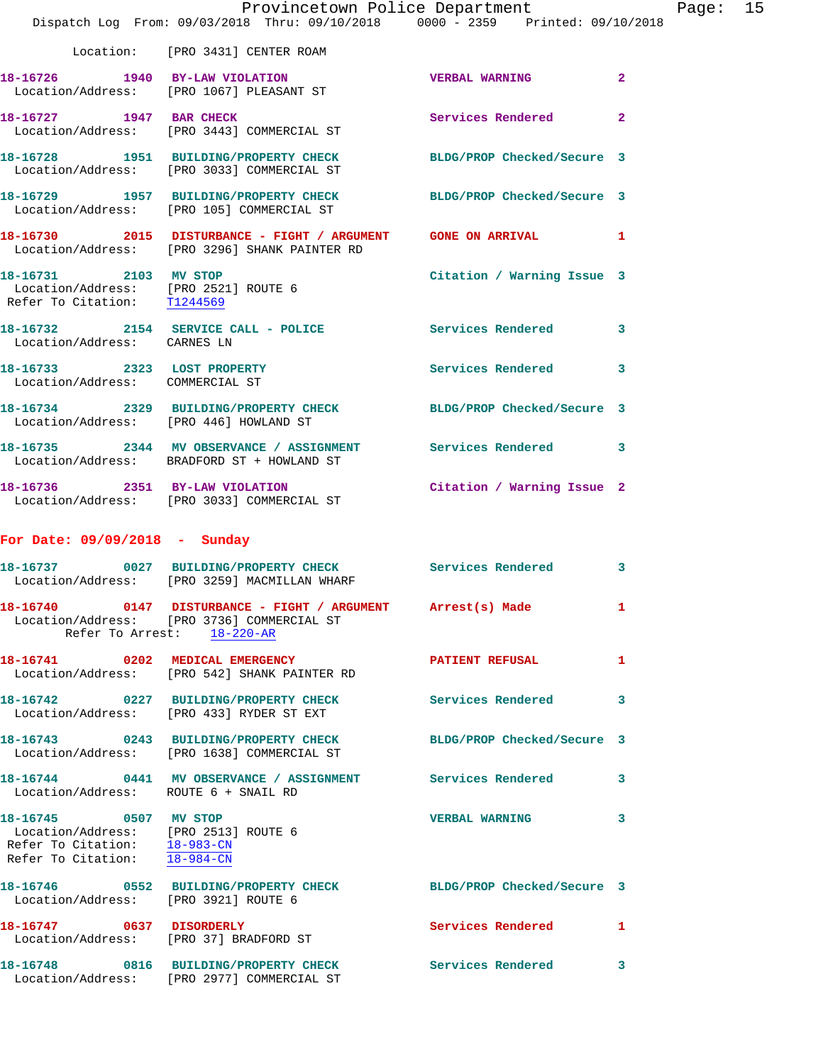|                                                                                                                                                                       | Provincetown Police Department<br>Dispatch Log From: 09/03/2018 Thru: 09/10/2018 0000 - 2359 Printed: 09/10/2018 |                            |                |
|-----------------------------------------------------------------------------------------------------------------------------------------------------------------------|------------------------------------------------------------------------------------------------------------------|----------------------------|----------------|
|                                                                                                                                                                       | Location: [PRO 3431] CENTER ROAM                                                                                 |                            |                |
|                                                                                                                                                                       |                                                                                                                  |                            |                |
|                                                                                                                                                                       | 18-16726 1940 BY-LAW VIOLATION<br>Location/Address: [PRO 1067] PLEASANT ST                                       | <b>VERBAL WARNING</b>      | $\mathbf{2}$   |
|                                                                                                                                                                       | 18-16727 1947 BAR CHECK<br>Location/Address: [PRO 3443] COMMERCIAL ST                                            | Services Rendered          | $\overline{a}$ |
|                                                                                                                                                                       | 18-16728 1951 BUILDING/PROPERTY CHECK<br>Location/Address: [PRO 3033] COMMERCIAL ST                              | BLDG/PROP Checked/Secure 3 |                |
|                                                                                                                                                                       | 18-16729 1957 BUILDING/PROPERTY CHECK<br>Location/Address: [PRO 105] COMMERCIAL ST                               | BLDG/PROP Checked/Secure 3 |                |
|                                                                                                                                                                       | 18-16730 2015 DISTURBANCE - FIGHT / ARGUMENT GONE ON ARRIVAL<br>Location/Address: [PRO 3296] SHANK PAINTER RD    |                            | 1              |
| 18-16731 2103 MV STOP<br>Location/Address: [PRO 2521] ROUTE 6<br>Refer To Citation: T1244569                                                                          |                                                                                                                  | Citation / Warning Issue 3 |                |
| Location/Address: CARNES LN                                                                                                                                           | 18-16732 2154 SERVICE CALL - POLICE                                                                              | <b>Services Rendered</b>   | 3              |
| 18-16733 2323 LOST PROPERTY<br>Location/Address: COMMERCIAL ST                                                                                                        |                                                                                                                  | <b>Services Rendered</b>   | 3              |
| Location/Address: [PRO 446] HOWLAND ST                                                                                                                                | 18-16734 2329 BUILDING/PROPERTY CHECK                                                                            | BLDG/PROP Checked/Secure 3 |                |
|                                                                                                                                                                       | 18-16735 2344 MV OBSERVANCE / ASSIGNMENT<br>Location/Address: BRADFORD ST + HOWLAND ST                           | Services Rendered 3        |                |
|                                                                                                                                                                       | 18-16736 2351 BY-LAW VIOLATION<br>Location/Address: [PRO 3033] COMMERCIAL ST                                     | Citation / Warning Issue 2 |                |
| For Date: 09/09/2018 - Sunday                                                                                                                                         |                                                                                                                  |                            |                |
|                                                                                                                                                                       | 18-16737 0027 BUILDING/PROPERTY CHECK<br>Location/Address: [PRO 3259] MACMILLAN WHARF                            | Services Rendered          | 3              |
| 18-16740                                                                                                                                                              | 0147 DISTURBANCE - FIGHT / ARGUMENT<br>Location/Address: [PRO 3736] COMMERCIAL ST<br>Refer To Arrest: 18-220-AR  | Arrest(s) Made             | 1              |
|                                                                                                                                                                       | 18-16741 0202 MEDICAL EMERGENCY<br>Location/Address: [PRO 542] SHANK PAINTER RD                                  | <b>PATIENT REFUSAL</b>     | 1              |
|                                                                                                                                                                       | 18-16742  0227 BUILDING/PROPERTY CHECK<br>Location/Address: [PRO 433] RYDER ST EXT                               | <b>Services Rendered</b>   | 3              |
|                                                                                                                                                                       | 18-16743 0243 BUILDING/PROPERTY CHECK<br>Location/Address: [PRO 1638] COMMERCIAL ST                              | BLDG/PROP Checked/Secure 3 |                |
| Location/Address: ROUTE 6 + SNAIL RD                                                                                                                                  | 18-16744 0441 MV OBSERVANCE / ASSIGNMENT Services Rendered                                                       |                            | 3              |
| 18-16745 0507 MV STOP<br>Location/Address: [PRO 2513] ROUTE 6<br>Refer To Citation: $\frac{18-983-CN}{18-984-CN}$<br>Refer To Citation: $\frac{18-983-CN}{18-984-CN}$ |                                                                                                                  | <b>VERBAL WARNING</b>      | 3              |
| Location/Address: [PRO 3921] ROUTE 6                                                                                                                                  | 18-16746 0552 BUILDING/PROPERTY CHECK                                                                            | BLDG/PROP Checked/Secure 3 |                |
| 18-16747 0637 DISORDERLY                                                                                                                                              | Location/Address: [PRO 37] BRADFORD ST                                                                           | Services Rendered          | 1              |
|                                                                                                                                                                       | 18-16748 0816 BUILDING/PROPERTY CHECK<br>Location/Address: [PRO 2977] COMMERCIAL ST                              | <b>Services Rendered</b>   | 3              |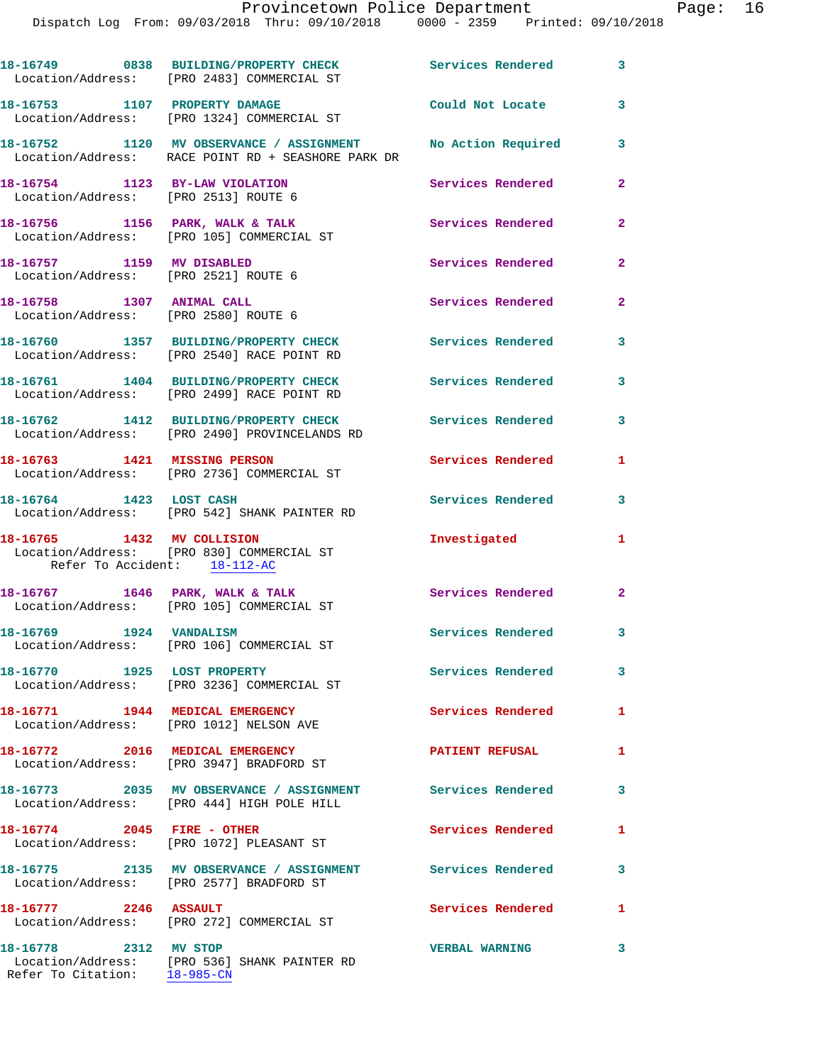Dispatch Log From: 09/03/2018 Thru: 09/10/2018 0000 - 2359 Printed: 09/10/2018

|                                                                        | 18-16749 0838 BUILDING/PROPERTY CHECK Services Rendered 3<br>Location/Address: [PRO 2483] COMMERCIAL ST           |                          |                         |
|------------------------------------------------------------------------|-------------------------------------------------------------------------------------------------------------------|--------------------------|-------------------------|
|                                                                        | 18-16753 1107 PROPERTY DAMAGE<br>Location/Address: [PRO 1324] COMMERCIAL ST                                       | Could Not Locate         | 3                       |
|                                                                        | 18-16752 1120 MV OBSERVANCE / ASSIGNMENT No Action Required<br>Location/Address: RACE POINT RD + SEASHORE PARK DR |                          | 3                       |
| 18-16754 1123 BY-LAW VIOLATION<br>Location/Address: [PRO 2513] ROUTE 6 |                                                                                                                   | Services Rendered        | $\overline{2}$          |
|                                                                        | 18-16756 1156 PARK, WALK & TALK<br>Location/Address: [PRO 105] COMMERCIAL ST                                      | Services Rendered        | $\mathbf{2}$            |
| 18-16757 1159 MV DISABLED<br>Location/Address: [PRO 2521] ROUTE 6      |                                                                                                                   | Services Rendered        | $\mathbf{2}$            |
| 18-16758 1307 ANIMAL CALL<br>Location/Address: [PRO 2580] ROUTE 6      |                                                                                                                   | Services Rendered        | $\mathbf{2}$            |
|                                                                        | 18-16760 1357 BUILDING/PROPERTY CHECK<br>Location/Address: [PRO 2540] RACE POINT RD                               | <b>Services Rendered</b> | 3                       |
|                                                                        | 18-16761 1404 BUILDING/PROPERTY CHECK<br>Location/Address: [PRO 2499] RACE POINT RD                               | Services Rendered        | 3                       |
|                                                                        | 18-16762 1412 BUILDING/PROPERTY CHECK<br>Location/Address: [PRO 2490] PROVINCELANDS RD                            | <b>Services Rendered</b> | 3                       |
| 18-16763 1421 MISSING PERSON                                           | Location/Address: [PRO 2736] COMMERCIAL ST                                                                        | Services Rendered        | $\mathbf{1}$            |
| 18-16764 1423 LOST CASH                                                | Location/Address: [PRO 542] SHANK PAINTER RD                                                                      | Services Rendered        | $\overline{\mathbf{3}}$ |
| 18-16765 1432 MV COLLISION<br>Refer To Accident: 18-112-AC             | Location/Address: [PRO 830] COMMERCIAL ST                                                                         | Investigated             | $\mathbf{1}$            |
|                                                                        | 18-16767 1646 PARK, WALK & TALK<br>Location/Address: [PRO 105] COMMERCIAL ST                                      | Services Rendered 2      |                         |
| 18-16769 1924 VANDALISM                                                | Location/Address: [PRO 106] COMMERCIAL ST                                                                         | Services Rendered        | 3                       |
| 18-16770 1925 LOST PROPERTY                                            | Location/Address: [PRO 3236] COMMERCIAL ST                                                                        | Services Rendered        | 3                       |
|                                                                        | 18-16771 1944 MEDICAL EMERGENCY<br>Location/Address: [PRO 1012] NELSON AVE                                        | <b>Services Rendered</b> | $\mathbf{1}$            |
| 18-16772 2016 MEDICAL EMERGENCY                                        | Location/Address: [PRO 3947] BRADFORD ST                                                                          | <b>PATIENT REFUSAL</b>   | $\mathbf{1}$            |
|                                                                        | 18-16773 2035 MV OBSERVANCE / ASSIGNMENT Services Rendered<br>Location/Address: [PRO 444] HIGH POLE HILL          |                          | 3                       |
| 18-16774 2045 FIRE - OTHER                                             | Location/Address: [PRO 1072] PLEASANT ST                                                                          | Services Rendered        | $\mathbf{1}$            |
|                                                                        | 18-16775 2135 MV OBSERVANCE / ASSIGNMENT Services Rendered<br>Location/Address: [PRO 2577] BRADFORD ST            |                          | 3                       |
| 18-16777 2246 ASSAULT                                                  | Location/Address: [PRO 272] COMMERCIAL ST                                                                         | Services Rendered        | $\mathbf{1}$            |
| 18-16778 2312 MV STOP                                                  | Location/Address: [PRO 536] SHANK PAINTER RD                                                                      | <b>VERBAL WARNING</b>    | 3                       |

Refer To Citation: 18-985-CN